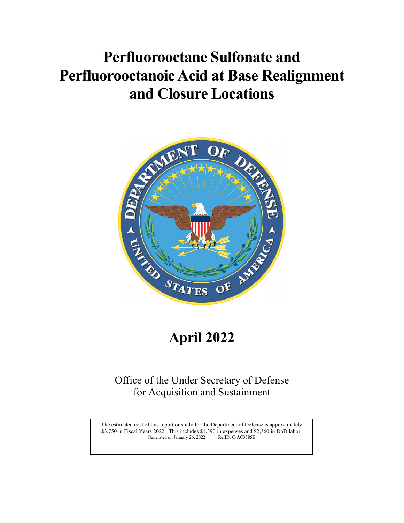# and Closure Locations **Perfluorooctane Sulfonate and Perfluorooctanoic Acid at Base Realignment**



# **April 2022**

# Office of the Under Secretary of Defense<br>for Acquisition and Sustainment<br>The estimated cost of this report or study for the Department of Defense is approximately<br>S3,750 in Fiscal Years 2022. This includes \$1,390 in expens Office of the Under Secretary of Defense<br>for Acquisition and Sustainment<br>The estimated cost of this report or study for the Department of Defense is approximately<br>S3,750 in Fiscal Years 2022. This includes \$1,390 in expens Office of the Under Secretary of Defense for Acquisition and Sustainment

Generated on January 26, 2022 RefID: C-AC3585E The estimated cost of this report or study for the Department of Defense is approximately \$3,750 in Fiscal Years 2022. This includes \$1,390 in expenses and \$2,360 in DoD labor.<br>Generated on January 26, 2022 RefID: C-AC3585E

 $\mathbf{I}$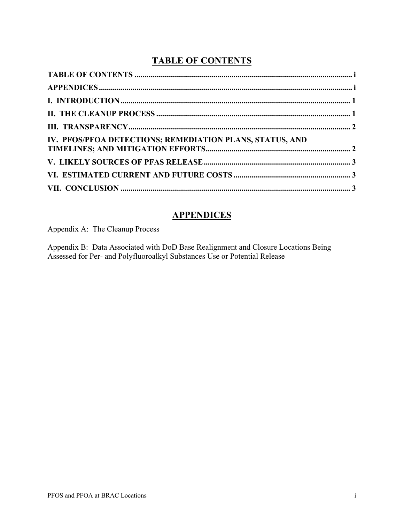# **TABLE OF CONTENTS**

<span id="page-1-0"></span>

# **APPENDICES**

<span id="page-1-1"></span>Appendix A: The Cleanup Process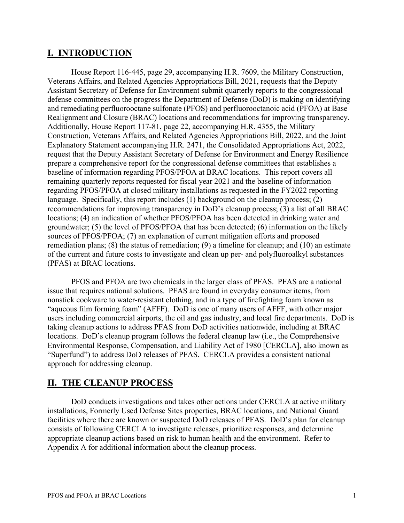# <span id="page-2-0"></span> **I. INTRODUCTION**

 remediation plans; (8) the status of remediation; (9) a timeline for cleanup; and (10) an estimate of the current and future costs to investigate and clean up per- and polyfluoroalkyl substances (PFAS) at BRAC locations. House Report 116-445, page 29, accompanying H.R. 7609, the Military Construction, Veterans Affairs, and Related Agencies Appropriations Bill, 2021, requests that the Deputy Assistant Secretary of Defense for Environment submit quarterly reports to the congressional defense committees on the progress the Department of Defense (DoD) is making on identifying and remediating perfluorooctane sulfonate (PFOS) and perfluorooctanoic acid (PFOA) at Base Realignment and Closure (BRAC) locations and recommendations for improving transparency. Additionally, House Report 117-81, page 22, accompanying H.R. 4355, the Military Construction, Veterans Affairs, and Related Agencies Appropriations Bill, 2022, and the Joint Explanatory Statement accompanying H.R. 2471, the Consolidated Appropriations Act, 2022, request that the Deputy Assistant Secretary of Defense for Environment and Energy Resilience prepare a comprehensive report for the congressional defense committees that establishes a baseline of information regarding PFOS/PFOA at BRAC locations. This report covers all remaining quarterly reports requested for fiscal year 2021 and the baseline of information regarding PFOS/PFOA at closed military installations as requested in the FY2022 reporting language. Specifically, this report includes (1) background on the cleanup process; (2) recommendations for improving transparency in DoD's cleanup process; (3) a list of all BRAC locations; (4) an indication of whether PFOS/PFOA has been detected in drinking water and groundwater; (5) the level of PFOS/PFOA that has been detected; (6) information on the likely sources of PFOS/PFOA; (7) an explanation of current mitigation efforts and proposed

 users including commercial airports, the oil and gas industry, and local fire departments. DoD is PFOS and PFOA are two chemicals in the larger class of PFAS. PFAS are a national issue that requires national solutions. PFAS are found in everyday consumer items, from nonstick cookware to water-resistant clothing, and in a type of firefighting foam known as "aqueous film forming foam" (AFFF). DoD is one of many users of AFFF, with other major taking cleanup actions to address PFAS from DoD activities nationwide, including at BRAC locations. DoD's cleanup program follows the federal cleanup law (i.e., the Comprehensive Environmental Response, Compensation, and Liability Act of 1980 [CERCLA], also known as "Superfund") to address DoD releases of PFAS. CERCLA provides a consistent national approach for addressing cleanup.

# <span id="page-2-1"></span>**II. THE CLEANUP PROCESS**

DoD conducts investigations and takes other actions under CERCLA at active military installations, Formerly Used Defense Sites properties, BRAC locations, and National Guard facilities where there are known or suspected DoD releases of PFAS. DoD's plan for cleanup consists of following CERCLA to investigate releases, prioritize responses, and determine appropriate cleanup actions based on risk to human health and the environment. Refer to Appendix A for additional information about the cleanup process.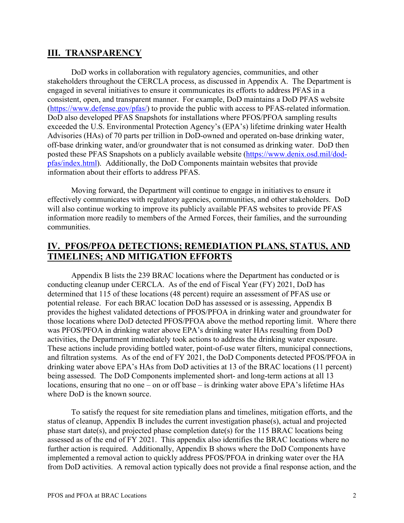### <span id="page-3-0"></span>**III. TRANSPARENCY**

 engaged in several initiatives to ensure it communicates its efforts to address PFAS in a consistent, open, and transparent manner. For example, DoD maintains a DoD PFAS website (https://www.defense.gov/pfas/) to provide the public with access to PFAS-related information. information about their efforts to address PFAS. DoD works in collaboration with regulatory agencies, communities, and other stakeholders throughout the CERCLA process, as discussed in Appendix A. The Department is DoD also developed PFAS Snapshots for installations where PFOS/PFOA sampling results exceeded the U.S. Environmental Protection Agency's (EPA's) lifetime drinking water Health Advisories (HAs) of 70 parts per trillion in DoD-owned and operated on-base drinking water, off-base drinking water, and/or groundwater that is not consumed as drinking water. DoD then posted these PFAS Snapshots on a publicly available website [\(https://www.denix.osd.mil/dod](https://www.denix.osd.mil/dod-pfas/index.html)[pfas/index.html\)](https://www.denix.osd.mil/dod-pfas/index.html). Additionally, the DoD Components maintain websites that provide

 Moving forward, the Department will continue to engage in initiatives to ensure it effectively communicates with regulatory agencies, communities, and other stakeholders. DoD will also continue working to improve its publicly available PFAS websites to provide PFAS information more readily to members of the Armed Forces, their families, and the surrounding communities.

## <span id="page-3-1"></span> **IV. PFOS/PFOA DETECTIONS; REMEDIATION PLANS, STATUS, AND TIMELINES; AND MITIGATION EFFORTS**

 Appendix B lists the 239 BRAC locations where the Department has conducted or is was PFOS/PFOA in drinking water above EPA's drinking water HAs resulting from DoD activities, the Department immediately took actions to address the drinking water exposure. drinking water above EPA's HAs from DoD activities at 13 of the BRAC locations (11 percent) being assessed. The DoD Components implemented short- and long-term actions at all 13 conducting cleanup under CERCLA. As of the end of Fiscal Year (FY) 2021, DoD has determined that 115 of these locations (48 percent) require an assessment of PFAS use or potential release. For each BRAC location DoD has assessed or is assessing, Appendix B provides the highest validated detections of PFOS/PFOA in drinking water and groundwater for those locations where DoD detected PFOS/PFOA above the method reporting limit. Where there These actions include providing bottled water, point-of-use water filters, municipal connections, and filtration systems. As of the end of FY 2021, the DoD Components detected PFOS/PFOA in locations, ensuring that no one – on or off base – is drinking water above EPA's lifetime HAs where DoD is the known source.

To satisfy the request for site remediation plans and timelines, mitigation efforts, and the status of cleanup, Appendix B includes the current investigation phase(s), actual and projected phase start date(s), and projected phase completion date(s) for the 115 BRAC locations being assessed as of the end of FY 2021. This appendix also identifies the BRAC locations where no further action is required. Additionally, Appendix B shows where the DoD Components have implemented a removal action to quickly address PFOS/PFOA in drinking water over the HA from DoD activities. A removal action typically does not provide a final response action, and the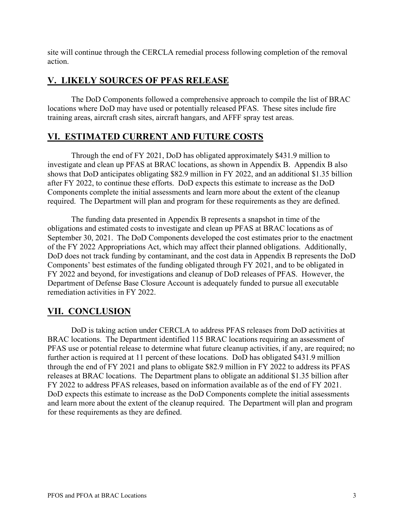action. site will continue through the CERCLA remedial process following completion of the removal

# <span id="page-4-0"></span>**V. LIKELY SOURCES OF PFAS RELEASE**

The DoD Components followed a comprehensive approach to compile the list of BRAC locations where DoD may have used or potentially released PFAS. These sites include fire training areas, aircraft crash sites, aircraft hangars, and AFFF spray test areas.

# <span id="page-4-1"></span> **VI. ESTIMATED CURRENT AND FUTURE COSTS**

 Components complete the initial assessments and learn more about the extent of the cleanup Through the end of FY 2021, DoD has obligated approximately \$431.9 million to investigate and clean up PFAS at BRAC locations, as shown in Appendix B. Appendix B also shows that DoD anticipates obligating \$82.9 million in FY 2022, and an additional \$1.35 billion after FY 2022, to continue these efforts. DoD expects this estimate to increase as the DoD required. The Department will plan and program for these requirements as they are defined.

The funding data presented in Appendix B represents a snapshot in time of the obligations and estimated costs to investigate and clean up PFAS at BRAC locations as of September 30, 2021. The DoD Components developed the cost estimates prior to the enactment of the FY 2022 Appropriations Act, which may affect their planned obligations. Additionally, DoD does not track funding by contaminant, and the cost data in Appendix B represents the DoD Components' best estimates of the funding obligated through FY 2021, and to be obligated in FY 2022 and beyond, for investigations and cleanup of DoD releases of PFAS. However, the Department of Defense Base Closure Account is adequately funded to pursue all executable remediation activities in FY 2022.

# <span id="page-4-2"></span>**VII. CONCLUSION**

 BRAC locations. The Department identified 115 BRAC locations requiring an assessment of DoD expects this estimate to increase as the DoD Components complete the initial assessments for these requirements as they are defined. DoD is taking action under CERCLA to address PFAS releases from DoD activities at PFAS use or potential release to determine what future cleanup activities, if any, are required; no further action is required at 11 percent of these locations. DoD has obligated \$431.9 million through the end of FY 2021 and plans to obligate \$82.9 million in FY 2022 to address its PFAS releases at BRAC locations. The Department plans to obligate an additional \$1.35 billion after FY 2022 to address PFAS releases, based on information available as of the end of FY 2021. and learn more about the extent of the cleanup required. The Department will plan and program for these requirements as they are defined.<br>PFOS and PFOA at BRAC Locations 3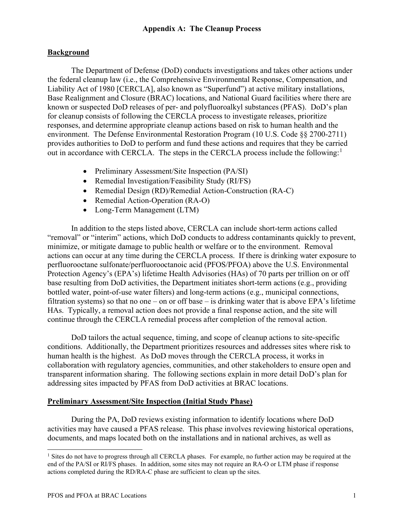#### **Background**

The Department of Defense (DoD) conducts investigations and takes other actions under the federal cleanup law (i.e., the Comprehensive Environmental Response, Compensation, and Liability Act of 1980 [CERCLA], also known as "Superfund") at active military installations, Base Realignment and Closure (BRAC) locations, and National Guard facilities where there are known or suspected DoD releases of per- and polyfluoroalkyl substances (PFAS). DoD's plan for cleanup consists of following the CERCLA process to investigate releases, prioritize responses, and determine appropriate cleanup actions based on risk to human health and the environment. The Defense Environmental Restoration Program (10 U.S. Code §§ 2700-2711) provides authorities to DoD to perform and fund these actions and requires that they be carried out in accordance with CERCLA. The steps in the CERCLA process include the following: $<sup>1</sup>$ </sup>

- Preliminary Assessment/Site Inspection (PA/SI)
- Remedial Investigation/Feasibility Study (RI/FS)
- Remedial Design (RD)/Remedial Action-Construction (RA-C)
- Remedial Action-Operation (RA-O)
- Long-Term Management (LTM)

 In addition to the steps listed above, CERCLA can include short-term actions called HAs. Typically, a removal action does not provide a final response action, and the site will "removal" or "interim" actions, which DoD conducts to address contaminants quickly to prevent, minimize, or mitigate damage to public health or welfare or to the environment. Removal actions can occur at any time during the CERCLA process. If there is drinking water exposure to perfluorooctane sulfonate/perfluorooctanoic acid (PFOS/PFOA) above the U.S. Environmental Protection Agency's (EPA's) lifetime Health Advisories (HAs) of 70 parts per trillion on or off base resulting from DoD activities, the Department initiates short-term actions (e.g., providing bottled water, point-of-use water filters) and long-term actions (e.g., municipal connections, filtration systems) so that no one – on or off base – is drinking water that is above  $EPA$ 's lifetime continue through the CERCLA remedial process after completion of the removal action.

DoD tailors the actual sequence, timing, and scope of cleanup actions to site-specific conditions. Additionally, the Department prioritizes resources and addresses sites where risk to human health is the highest. As DoD moves through the CERCLA process, it works in collaboration with regulatory agencies, communities, and other stakeholders to ensure open and transparent information sharing. The following sections explain in more detail DoD's plan for addressing sites impacted by PFAS from DoD activities at BRAC locations.

#### **Preliminary Assessment/Site Inspection (Initial Study Phase)**

During the PA, DoD reviews existing information to identify locations where DoD activities may have caused a PFAS release. This phase involves reviewing historical operations, documents, and maps located both on the installations and in national archives, as well as

<span id="page-5-0"></span><sup>&</sup>lt;sup>1</sup> Sites do not have to progress through all CERCLA phases. For example, no further action may be required at the end of the PA/SI or RI/FS phases. In addition, some sites may not require an RA-O or LTM phase if response actions completed during the RD/RA-C phase are sufficient to clean up the sites.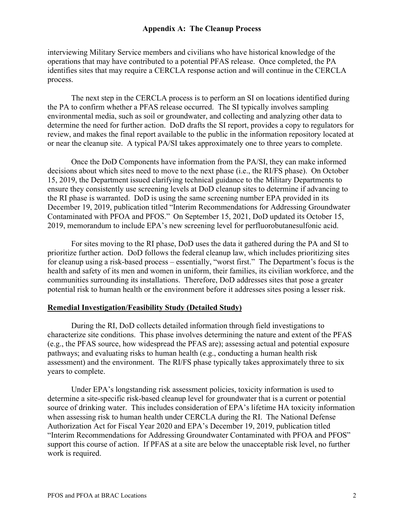operations that may have contributed to a potential PFAS release. Once completed, the PA interviewing Military Service members and civilians who have historical knowledge of the identifies sites that may require a CERCLA response action and will continue in the CERCLA process.

 environmental media, such as soil or groundwater, and collecting and analyzing other data to The next step in the CERCLA process is to perform an SI on locations identified during the PA to confirm whether a PFAS release occurred. The SI typically involves sampling determine the need for further action. DoD drafts the SI report, provides a copy to regulators for review, and makes the final report available to the public in the information repository located at or near the cleanup site. A typical PA/SI takes approximately one to three years to complete.

 decisions about which sites need to move to the next phase (i.e., the RI/FS phase). On October December 19, 2019, publication titled "Interim Recommendations for Addressing Groundwater Contaminated with PFOA and PFOS." On September 15, 2021, DoD updated its October 15, 2019, memorandum to include EPA's new screening level for perfluorobutanesulfonic acid. Once the DoD Components have information from the PA/SI, they can make informed 15, 2019, the Department issued clarifying technical guidance to the Military Departments to ensure they consistently use screening levels at DoD cleanup sites to determine if advancing to the RI phase is warranted. DoD is using the same screening number EPA provided in its

 prioritize further action. DoD follows the federal cleanup law, which includes prioritizing sites For sites moving to the RI phase, DoD uses the data it gathered during the PA and SI to for cleanup using a risk-based process – essentially, "worst first." The Department's focus is the health and safety of its men and women in uniform, their families, its civilian workforce, and the communities surrounding its installations. Therefore, DoD addresses sites that pose a greater potential risk to human health or the environment before it addresses sites posing a lesser risk.

#### **Remedial Investigation/Feasibility Study (Detailed Study)**

 assessment) and the environment. The RI/FS phase typically takes approximately three to six During the RI, DoD collects detailed information through field investigations to characterize site conditions. This phase involves determining the nature and extent of the PFAS (e.g., the PFAS source, how widespread the PFAS are); assessing actual and potential exposure pathways; and evaluating risks to human health (e.g., conducting a human health risk years to complete.

Under EPA's longstanding risk assessment policies, toxicity information is used to determine a site-specific risk-based cleanup level for groundwater that is a current or potential source of drinking water. This includes consideration of EPA's lifetime HA toxicity information when assessing risk to human health under CERCLA during the RI. The National Defense Authorization Act for Fiscal Year 2020 and EPA's December 19, 2019, publication titled "Interim Recommendations for Addressing Groundwater Contaminated with PFOA and PFOS" support this course of action. If PFAS at a site are below the unacceptable risk level, no further work is required.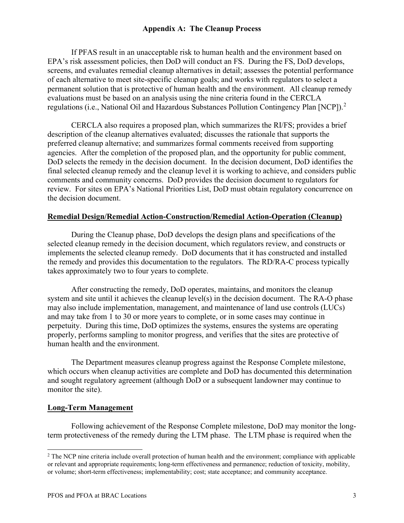of each alternative to meet site-specific cleanup goals; and works with regulators to select a permanent solution that is protective of human health and the environment. All cleanup remedy evaluations must be based on an analysis using the nine criteria found in the CERCLA If PFAS result in an unacceptable risk to human health and the environment based on EPA's risk assessment policies, then DoD will conduct an FS. During the FS, DoD develops, screens, and evaluates remedial cleanup alternatives in detail; assesses the potential performance regulations (i.e., National Oil and Hazardous Substances Pollution Contingency Plan [NCP]).<sup>[2](#page-7-0)</sup>

CERCLA also requires a proposed plan, which summarizes the RI/FS; provides a brief description of the cleanup alternatives evaluated; discusses the rationale that supports the preferred cleanup alternative; and summarizes formal comments received from supporting agencies. After the completion of the proposed plan, and the opportunity for public comment, DoD selects the remedy in the decision document. In the decision document, DoD identifies the final selected cleanup remedy and the cleanup level it is working to achieve, and considers public comments and community concerns. DoD provides the decision document to regulators for review. For sites on EPA's National Priorities List, DoD must obtain regulatory concurrence on the decision document.

#### **Remedial Design/Remedial Action-Construction/Remedial Action-Operation (Cleanup)**

During the Cleanup phase, DoD develops the design plans and specifications of the selected cleanup remedy in the decision document, which regulators review, and constructs or implements the selected cleanup remedy. DoD documents that it has constructed and installed the remedy and provides this documentation to the regulators. The RD/RA-C process typically takes approximately two to four years to complete.

 and may take from 1 to 30 or more years to complete, or in some cases may continue in After constructing the remedy, DoD operates, maintains, and monitors the cleanup system and site until it achieves the cleanup level(s) in the decision document. The RA-O phase may also include implementation, management, and maintenance of land use controls (LUCs) perpetuity. During this time, DoD optimizes the systems, ensures the systems are operating properly, performs sampling to monitor progress, and verifies that the sites are protective of human health and the environment.

 monitor the site). The Department measures cleanup progress against the Response Complete milestone, which occurs when cleanup activities are complete and DoD has documented this determination and sought regulatory agreement (although DoD or a subsequent landowner may continue to

#### **Long-Term Management**

 Following achievement of the Response Complete milestone, DoD may monitor the longterm protectiveness of the remedy during the LTM phase. The LTM phase is required when the

<span id="page-7-0"></span><sup>&</sup>lt;sup>2</sup> The NCP nine criteria include overall protection of human health and the environment; compliance with applicable or relevant and appropriate requirements; long-term effectiveness and permanence; reduction of toxicity, mobility, or volume; short-term effectiveness; implementability; cost; state acceptance; and community acceptance.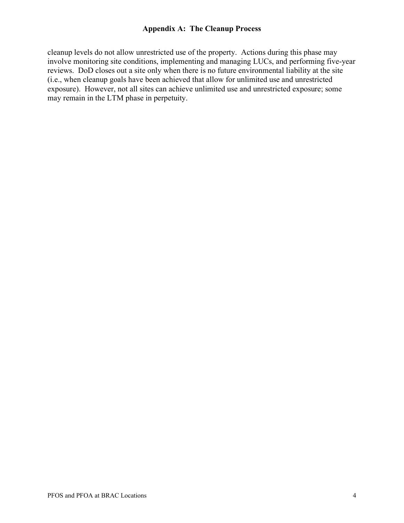reviews. DoD closes out a site only when there is no future environmental liability at the site cleanup levels do not allow unrestricted use of the property. Actions during this phase may involve monitoring site conditions, implementing and managing LUCs, and performing five-year (i.e., when cleanup goals have been achieved that allow for unlimited use and unrestricted exposure). However, not all sites can achieve unlimited use and unrestricted exposure; some may remain in the LTM phase in perpetuity.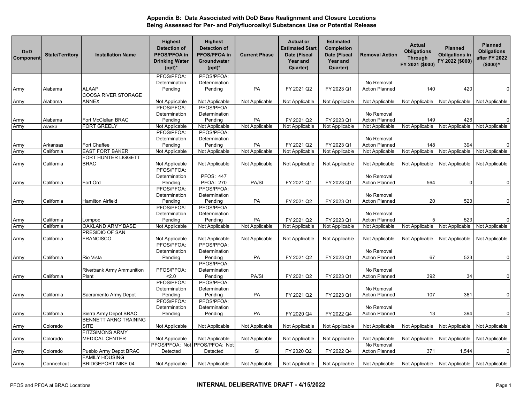| <b>DoD</b><br>Component | <b>State/Territory</b> | <b>Installation Name</b>     | <b>Highest</b><br><b>Detection of</b><br><b>PFOS/PFOA in</b><br><b>Drinking Water</b><br>$(ppt)^*$ | <b>Highest</b><br><b>Detection of</b><br>PFOS/PFOA in<br>Groundwater<br>$(ppt)^*$ | <b>Current Phase</b> | <b>Actual or</b><br><b>Estimated Start</b><br>Date (Fiscal<br><b>Year and</b><br>Quarter) | <b>Estimated</b><br><b>Completion</b><br>Date (Fiscal<br><b>Year and</b><br>Quarter) | <b>Removal Action</b> | <b>Actual</b><br><b>Obligations</b><br><b>Through</b><br>FY 2021 (\$000) | <b>Planned</b><br><b>Obligations in</b><br>FY 2022 (\$000) | <b>Planned</b><br><b>Obligations</b><br>after FY 2022<br>$($000)^<$ |
|-------------------------|------------------------|------------------------------|----------------------------------------------------------------------------------------------------|-----------------------------------------------------------------------------------|----------------------|-------------------------------------------------------------------------------------------|--------------------------------------------------------------------------------------|-----------------------|--------------------------------------------------------------------------|------------------------------------------------------------|---------------------------------------------------------------------|
|                         |                        |                              | PFOS/PFOA:                                                                                         | PFOS/PFOA:                                                                        |                      |                                                                                           |                                                                                      |                       |                                                                          |                                                            |                                                                     |
|                         |                        |                              | Determination                                                                                      | Determination                                                                     |                      |                                                                                           |                                                                                      | No Removal            |                                                                          |                                                            |                                                                     |
| Army                    | Alabama                | ALAAP                        | Pending                                                                                            | Pending                                                                           | PA                   | FY 2021 Q2                                                                                | FY 2023 Q1                                                                           | <b>Action Planned</b> | 140                                                                      | 420                                                        | $\Omega$                                                            |
|                         |                        | <b>COOSA RIVER STORAGE</b>   |                                                                                                    |                                                                                   |                      |                                                                                           |                                                                                      |                       |                                                                          |                                                            |                                                                     |
| Army                    | Alabama                | ANNEX                        | Not Applicable                                                                                     | Not Applicable                                                                    | Not Applicable       | Not Applicable                                                                            | Not Applicable                                                                       | Not Applicable        | Not Applicable                                                           | Not Applicable                                             | Not Applicable                                                      |
|                         |                        |                              | PFOS/PFOA:                                                                                         | PFOS/PFOA:                                                                        |                      |                                                                                           |                                                                                      |                       |                                                                          |                                                            |                                                                     |
|                         |                        |                              | Determination                                                                                      | Determination                                                                     |                      |                                                                                           |                                                                                      | No Removal            |                                                                          |                                                            |                                                                     |
| Army                    | Alabama                | Fort McClellan BRAC          | Pending                                                                                            | Pending                                                                           | PA                   | FY 2021 Q2                                                                                | FY 2023 Q1                                                                           | <b>Action Planned</b> | 149                                                                      | 426                                                        | $\mathbf 0$                                                         |
| Army                    | Alaska                 | <b>FORT GREELY</b>           | Not Applicable                                                                                     | Not Applicable                                                                    | Not Applicable       | Not Applicable                                                                            | Not Applicable                                                                       | Not Applicable        | Not Applicable                                                           | Not Applicable                                             | Not Applicable                                                      |
|                         |                        |                              | PFOS/PFOA:                                                                                         | PFOS/PFOA:                                                                        |                      |                                                                                           |                                                                                      |                       |                                                                          |                                                            |                                                                     |
|                         |                        |                              | Determination                                                                                      | Determination                                                                     |                      |                                                                                           |                                                                                      | No Removal            |                                                                          |                                                            |                                                                     |
| Army                    | Arkansas               | Fort Chaffee                 | Pending                                                                                            | Pending                                                                           | PA                   | FY 2021 Q2                                                                                | FY 2023 Q1                                                                           | <b>Action Planned</b> | 148                                                                      | 394                                                        | $\mathbf 0$                                                         |
| Army                    | California             | <b>EAST FORT BAKER</b>       | Not Applicable                                                                                     | Not Applicable                                                                    | Not Applicable       | Not Applicable                                                                            | Not Applicable                                                                       | Not Applicable        | Not Applicable                                                           | Not Applicable                                             | Not Applicable                                                      |
|                         |                        | FORT HUNTER LIGGETT          |                                                                                                    |                                                                                   |                      |                                                                                           |                                                                                      |                       |                                                                          |                                                            |                                                                     |
| Army                    | California             | BRAC                         | Not Applicable                                                                                     | Not Applicable                                                                    | Not Applicable       | Not Applicable                                                                            | Not Applicable                                                                       | Not Applicable        | Not Applicable                                                           | Not Applicable                                             | Not Applicable                                                      |
|                         |                        |                              | PFOS/PFOA:                                                                                         |                                                                                   |                      |                                                                                           |                                                                                      |                       |                                                                          |                                                            |                                                                     |
|                         |                        |                              | Determination                                                                                      | <b>PFOS: 447</b>                                                                  |                      |                                                                                           |                                                                                      | No Removal            |                                                                          |                                                            |                                                                     |
| Army                    | California             | Fort Ord                     | Pending                                                                                            | <b>PFOA: 270</b>                                                                  | PA/SI                | FY 2021 Q1                                                                                | FY 2023 Q1                                                                           | <b>Action Planned</b> | 564                                                                      |                                                            | $\Omega$                                                            |
|                         |                        |                              | PFOS/PFOA:                                                                                         | PFOS/PFOA:                                                                        |                      |                                                                                           |                                                                                      |                       |                                                                          |                                                            |                                                                     |
|                         |                        |                              | Determination                                                                                      | Determination                                                                     |                      |                                                                                           |                                                                                      | No Removal            |                                                                          |                                                            |                                                                     |
| Army                    | California             | Hamilton Airfield            | Pending                                                                                            | Pending                                                                           | PA                   | FY 2021 Q2                                                                                | FY 2023 Q1                                                                           | <b>Action Planned</b> | 20                                                                       | 523                                                        | $\mathbf 0$                                                         |
|                         |                        |                              | PFOS/PFOA:                                                                                         | PFOS/PFOA:                                                                        |                      |                                                                                           |                                                                                      |                       |                                                                          |                                                            |                                                                     |
|                         |                        |                              | Determination                                                                                      | Determination                                                                     |                      |                                                                                           |                                                                                      | No Removal            |                                                                          |                                                            |                                                                     |
| Army                    | California             | Lompoc                       | Pending                                                                                            | Pending                                                                           | PA                   | FY 2021 Q2                                                                                | FY 2023 Q1                                                                           | <b>Action Planned</b> |                                                                          | 523                                                        | $\Omega$                                                            |
| Army                    | California             | OAKLAND ARMY BASE            | Not Applicable                                                                                     | Not Applicable                                                                    | Not Applicable       | Not Applicable                                                                            | Not Applicable                                                                       | Not Applicable        | Not Applicable                                                           | Not Applicable                                             | Not Applicable                                                      |
|                         |                        | PRESIDIO OF SAN              |                                                                                                    |                                                                                   |                      |                                                                                           |                                                                                      |                       |                                                                          |                                                            |                                                                     |
| Army                    | California             | FRANCISCO                    | Not Applicable                                                                                     | Not Applicable                                                                    | Not Applicable       | Not Applicable                                                                            | Not Applicable                                                                       | Not Applicable        | Not Applicable                                                           | Not Applicable                                             | Not Applicable                                                      |
|                         |                        |                              | PFOS/PFOA:                                                                                         | PFOS/PFOA:                                                                        |                      |                                                                                           |                                                                                      |                       |                                                                          |                                                            |                                                                     |
|                         |                        |                              | Determination                                                                                      | Determination                                                                     |                      |                                                                                           |                                                                                      | No Removal            |                                                                          |                                                            |                                                                     |
| Army                    | California             | Rio Vista                    | Pending                                                                                            | Pending                                                                           | PA                   | FY 2021 Q2                                                                                | FY 2023 Q1                                                                           | <b>Action Planned</b> | 67                                                                       | 523                                                        | $\Omega$                                                            |
|                         |                        |                              |                                                                                                    | PFOS/PFOA:                                                                        |                      |                                                                                           |                                                                                      |                       |                                                                          |                                                            |                                                                     |
|                         |                        | Riverbank Army Ammunition    | PFOS/PFOA:                                                                                         | Determination                                                                     |                      |                                                                                           |                                                                                      | No Removal            |                                                                          |                                                            |                                                                     |
| Army                    | California             | Plant                        | 2.0                                                                                                | Pending                                                                           | PA/SI                | FY 2021 Q2                                                                                | FY 2023 Q1                                                                           | <b>Action Planned</b> | 392                                                                      | 34                                                         | $\mathbf 0$                                                         |
|                         |                        |                              | PFOS/PFOA:                                                                                         | PFOS/PFOA:                                                                        |                      |                                                                                           |                                                                                      |                       |                                                                          |                                                            |                                                                     |
|                         |                        |                              | Determination                                                                                      | Determination                                                                     |                      |                                                                                           |                                                                                      | No Removal            |                                                                          |                                                            |                                                                     |
| Army                    | California             | Sacramento Army Depot        | Pending                                                                                            | Pending                                                                           | PA                   | FY 2021 Q2                                                                                | FY 2023 Q1                                                                           | <b>Action Planned</b> | 107                                                                      | 361                                                        | $\mathbf 0$                                                         |
|                         |                        |                              | PFOS/PFOA:                                                                                         | PFOS/PFOA:                                                                        |                      |                                                                                           |                                                                                      |                       |                                                                          |                                                            |                                                                     |
|                         |                        |                              | Determination                                                                                      | Determination                                                                     |                      |                                                                                           |                                                                                      | No Removal            |                                                                          |                                                            |                                                                     |
| Army                    | California             | Sierra Army Depot BRAC       | Pending                                                                                            | Pending                                                                           | PA                   | FY 2020 Q4                                                                                | FY 2022 Q4                                                                           | <b>Action Planned</b> | 13                                                                       | 394                                                        | $\mathbf 0$                                                         |
|                         |                        | <b>BENNETT ARNG TRAINING</b> |                                                                                                    |                                                                                   |                      |                                                                                           |                                                                                      |                       |                                                                          |                                                            |                                                                     |
| Army                    | Colorado               | <b>SITE</b>                  | Not Applicable                                                                                     | Not Applicable                                                                    | Not Applicable       | Not Applicable                                                                            | Not Applicable                                                                       | Not Applicable        | Not Applicable                                                           | Not Applicable                                             | Not Applicable                                                      |
|                         |                        | <b>FITZSIMONS ARMY</b>       |                                                                                                    |                                                                                   |                      |                                                                                           |                                                                                      |                       |                                                                          |                                                            |                                                                     |
| Army                    | Colorado               | <b>MEDICAL CENTER</b>        | Not Applicable                                                                                     | Not Applicable                                                                    | Not Applicable       | Not Applicable                                                                            | Not Applicable                                                                       | Not Applicable        | Not Applicable                                                           | Not Applicable                                             | Not Applicable                                                      |
|                         |                        |                              |                                                                                                    | PFOS/PFOA: Not PFOS/PFOA: Not                                                     |                      |                                                                                           |                                                                                      | No Removal            |                                                                          |                                                            |                                                                     |
| Army                    | Colorado               | Pueblo Army Depot BRAC       | Detected                                                                                           | Detected                                                                          | SI                   | FY 2020 Q2                                                                                | FY 2022 Q4                                                                           | <b>Action Planned</b> | 371                                                                      | 1,544                                                      | $\mathbf 0$                                                         |
|                         |                        | <b>FAMILY HOUSING</b>        |                                                                                                    |                                                                                   |                      |                                                                                           |                                                                                      |                       |                                                                          |                                                            |                                                                     |
| Army                    | Connecticut            | <b>BRIDGEPORT NIKE 04</b>    | Not Applicable                                                                                     | Not Applicable                                                                    | Not Applicable       | Not Applicable                                                                            | Not Applicable                                                                       | Not Applicable        |                                                                          |                                                            | Not Applicable   Not Applicable   Not Applicable                    |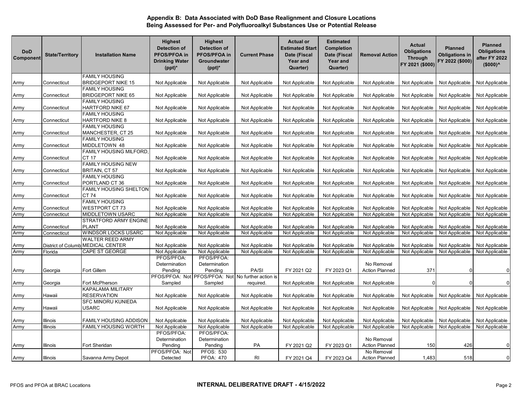| <b>DoD</b><br>Component | <b>State/Territory</b>    | <b>Installation Name</b>                           | <b>Highest</b><br><b>Detection of</b><br>PFOS/PFOA in<br><b>Drinking Water</b><br>$(ppt)^*$ | <b>Highest</b><br><b>Detection of</b><br>PFOS/PFOA in<br>Groundwater<br>$(ppt)^*$ | <b>Current Phase</b> | <b>Actual or</b><br><b>Estimated Start</b><br>Date (Fiscal<br>Year and<br>Quarter) | <b>Estimated</b><br>Completion<br>Date (Fiscal<br>Year and<br>Quarter) | <b>Removal Action</b> | <b>Actual</b><br><b>Obligations</b><br><b>Through</b><br>FY 2021 (\$000) | <b>Planned</b><br><b>Obligations in</b><br>FY 2022 (\$000) | <b>Planned</b><br><b>Obligations</b><br>after FY 2022<br>$($000)^<$ |
|-------------------------|---------------------------|----------------------------------------------------|---------------------------------------------------------------------------------------------|-----------------------------------------------------------------------------------|----------------------|------------------------------------------------------------------------------------|------------------------------------------------------------------------|-----------------------|--------------------------------------------------------------------------|------------------------------------------------------------|---------------------------------------------------------------------|
|                         |                           | <b>FAMILY HOUSING</b>                              |                                                                                             |                                                                                   |                      |                                                                                    |                                                                        |                       |                                                                          |                                                            |                                                                     |
| Army                    | Connecticut               | <b>BRIDGEPORT NIKE 15</b>                          | Not Applicable                                                                              | Not Applicable                                                                    | Not Applicable       | Not Applicable                                                                     | Not Applicable                                                         | Not Applicable        | Not Applicable                                                           | Not Applicable                                             | Not Applicable                                                      |
| Army                    | Connecticut               | <b>FAMILY HOUSING</b><br><b>BRIDGEPORT NIKE 65</b> | Not Applicable                                                                              | Not Applicable                                                                    | Not Applicable       | Not Applicable                                                                     | Not Applicable                                                         | Not Applicable        | Not Applicable                                                           | Not Applicable                                             | Not Applicable                                                      |
| Army                    | Connecticut               | <b>FAMILY HOUSING</b><br>HARTFORD NIKE 67          | Not Applicable                                                                              | Not Applicable                                                                    | Not Applicable       | Not Applicable                                                                     | Not Applicable                                                         | Not Applicable        | Not Applicable                                                           | Not Applicable                                             | Not Applicable                                                      |
|                         |                           | <b>FAMILY HOUSING</b>                              |                                                                                             |                                                                                   |                      |                                                                                    |                                                                        |                       |                                                                          |                                                            |                                                                     |
| Army                    | Connecticut               | HARTFORD NIKE 8                                    | Not Applicable                                                                              | Not Applicable                                                                    | Not Applicable       | Not Applicable                                                                     | Not Applicable                                                         | Not Applicable        | Not Applicable                                                           | Not Applicable                                             | Not Applicable                                                      |
|                         |                           | FAMILY HOUSING                                     |                                                                                             |                                                                                   |                      |                                                                                    |                                                                        |                       |                                                                          |                                                            |                                                                     |
| Army                    | Connecticut               | MANCHESTER, CT 25                                  | Not Applicable                                                                              | Not Applicable                                                                    | Not Applicable       | Not Applicable                                                                     | Not Applicable                                                         | Not Applicable        | Not Applicable                                                           | Not Applicable                                             | Not Applicable                                                      |
|                         |                           | <b>FAMILY HOUSING</b>                              |                                                                                             |                                                                                   |                      |                                                                                    |                                                                        |                       |                                                                          |                                                            |                                                                     |
| Army                    | Connecticut               | MIDDLETOWN 48                                      | Not Applicable                                                                              | Not Applicable                                                                    | Not Applicable       | Not Applicable                                                                     | Not Applicable                                                         | Not Applicable        | Not Applicable                                                           | Not Applicable                                             | Not Applicable                                                      |
|                         |                           | <b>FAMILY HOUSING MILFORD.</b>                     |                                                                                             |                                                                                   |                      |                                                                                    |                                                                        |                       |                                                                          |                                                            |                                                                     |
| Army                    | Connecticut               | CT 17                                              | Not Applicable                                                                              | Not Applicable                                                                    | Not Applicable       | Not Applicable                                                                     | Not Applicable                                                         | Not Applicable        | Not Applicable                                                           | Not Applicable                                             | Not Applicable                                                      |
|                         |                           | <b>FAMILY HOUSING NEW</b>                          |                                                                                             |                                                                                   |                      |                                                                                    |                                                                        |                       |                                                                          |                                                            |                                                                     |
| Army                    | Connecticut               | BRITAIN, CT 57                                     | Not Applicable                                                                              | Not Applicable                                                                    | Not Applicable       | Not Applicable                                                                     | Not Applicable                                                         | Not Applicable        | Not Applicable                                                           | Not Applicable                                             | Not Applicable                                                      |
|                         |                           | <b>FAMILY HOUSING</b>                              |                                                                                             |                                                                                   |                      |                                                                                    |                                                                        |                       |                                                                          |                                                            |                                                                     |
| Army                    | Connecticut               | PORTLAND CT 36                                     | Not Applicable                                                                              | Not Applicable                                                                    | Not Applicable       | Not Applicable                                                                     | Not Applicable                                                         | Not Applicable        | Not Applicable                                                           | Not Applicable                                             | Not Applicable                                                      |
|                         |                           | <b>FAMILY HOUSING SHELTON</b>                      |                                                                                             |                                                                                   |                      |                                                                                    |                                                                        |                       |                                                                          |                                                            |                                                                     |
| Army                    | Connecticut               | <b>CT74</b>                                        | Not Applicable                                                                              | Not Applicable                                                                    | Not Applicable       | Not Applicable                                                                     | Not Applicable                                                         | Not Applicable        | Not Applicable                                                           | Not Applicable                                             | Not Applicable                                                      |
|                         |                           | <b>FAMILY HOUSING</b>                              |                                                                                             |                                                                                   |                      |                                                                                    |                                                                        |                       |                                                                          |                                                            |                                                                     |
| Army                    | Connecticut               | <b>WESTPORT CT 73</b>                              | Not Applicable                                                                              | Not Applicable                                                                    | Not Applicable       | Not Applicable                                                                     | Not Applicable                                                         | Not Applicable        | Not Applicable                                                           | Not Applicable                                             | Not Applicable                                                      |
| Army                    | Connecticut               | <b>MIDDLETOWN USARC</b>                            | Not Applicable                                                                              | Not Applicable                                                                    | Not Applicable       | Not Applicable                                                                     | Not Applicable                                                         | Not Applicable        | Not Applicable                                                           | Not Applicable                                             | Not Applicable                                                      |
|                         |                           | STRATFORD ARMY ENGINE                              |                                                                                             |                                                                                   |                      |                                                                                    |                                                                        |                       |                                                                          |                                                            |                                                                     |
| Army                    | Connecticut               | <b>PLANT</b>                                       | Not Applicable                                                                              | Not Applicable                                                                    | Not Applicable       | Not Applicable                                                                     | Not Applicable                                                         | Not Applicable        | Not Applicable                                                           | Not Applicable                                             | Not Applicable                                                      |
| Army                    | Connecticut               | <b>WINDSOR LOCKS USARC</b>                         | Not Applicable                                                                              | Not Applicable                                                                    | Not Applicable       | Not Applicable                                                                     | Not Applicable                                                         | Not Applicable        | Not Applicable                                                           | Not Applicable                                             | Not Applicable                                                      |
|                         |                           | <b>WALTER REED ARMY</b>                            |                                                                                             |                                                                                   |                      |                                                                                    |                                                                        |                       |                                                                          |                                                            |                                                                     |
| Army                    | <b>District of Columb</b> | <b>MEDICAL CENTER</b>                              | Not Applicable                                                                              | Not Applicable                                                                    | Not Applicable       | Not Applicable                                                                     | Not Applicable                                                         | Not Applicable        | Not Applicable                                                           | Not Applicable                                             | Not Applicable                                                      |
| Army                    | Florida                   | CAPE ST GEORGE                                     | Not Applicable<br>PFOS/PFOA:                                                                | Not Applicable<br>PFOS/PFOA:                                                      | Not Applicable       | Not Applicable                                                                     | Not Applicable                                                         | Not Applicable        | Not Applicable                                                           | Not Applicable                                             | Not Applicable                                                      |
|                         |                           |                                                    | Determination                                                                               | Determination                                                                     |                      |                                                                                    |                                                                        | No Removal            |                                                                          |                                                            |                                                                     |
|                         | Georgia                   | Fort Gillem                                        | Pending                                                                                     | Pending                                                                           | PA/SI                | FY 2021 Q2                                                                         | FY 2023 Q1                                                             | <b>Action Planned</b> | 371                                                                      |                                                            | $\mathbf 0$                                                         |
| Army                    |                           |                                                    | PFOS/PFOA: Not                                                                              | PFOS/PFOA: Not                                                                    | No further action is |                                                                                    |                                                                        |                       |                                                                          |                                                            |                                                                     |
| Army                    | Georgia                   | Fort McPherson                                     | Sampled                                                                                     | Sampled                                                                           | required.            | Not Applicable                                                                     | Not Applicable                                                         | Not Applicable        | $\Omega$                                                                 |                                                            | $\Omega$                                                            |
|                         |                           | KAPALAMA MILITARY                                  |                                                                                             |                                                                                   |                      |                                                                                    |                                                                        |                       |                                                                          |                                                            |                                                                     |
| Army                    | Hawaii                    | <b>RESERVATION</b>                                 | Not Applicable                                                                              | Not Applicable                                                                    | Not Applicable       | Not Applicable                                                                     | Not Applicable                                                         | Not Applicable        | Not Applicable                                                           | Not Applicable                                             | Not Applicable                                                      |
|                         |                           | SFC MINORU KUNIEDA                                 |                                                                                             |                                                                                   |                      |                                                                                    |                                                                        |                       |                                                                          |                                                            |                                                                     |
| Army                    | Hawaii                    | USARC                                              | Not Applicable                                                                              | Not Applicable                                                                    | Not Applicable       | Not Applicable                                                                     | Not Applicable                                                         | Not Applicable        | Not Applicable                                                           | Not Applicable                                             | Not Applicable                                                      |
|                         |                           |                                                    |                                                                                             |                                                                                   |                      |                                                                                    |                                                                        |                       |                                                                          |                                                            |                                                                     |
| Army                    | Illinois                  | <b>FAMILY HOUSING ADDISON</b>                      | Not Applicable                                                                              | Not Applicable                                                                    | Not Applicable       | Not Applicable                                                                     | Not Applicable                                                         | Not Applicable        | Not Applicable                                                           | Not Applicable                                             | Not Applicable                                                      |
| Army                    | Illinois                  | FAMILY HOUSING WORTH                               | Not Applicable                                                                              | Not Applicable                                                                    | Not Applicable       | Not Applicable                                                                     | Not Applicable                                                         | Not Applicable        | Not Applicable                                                           | Not Applicable                                             | Not Applicable                                                      |
|                         |                           |                                                    | PFOS/PFOA:                                                                                  | PFOS/PFOA:                                                                        |                      |                                                                                    |                                                                        |                       |                                                                          |                                                            |                                                                     |
|                         |                           |                                                    | Determination                                                                               | Determination                                                                     |                      |                                                                                    |                                                                        | No Removal            |                                                                          |                                                            |                                                                     |
| Army                    | Illinois                  | Fort Sheridan                                      | Pending                                                                                     | Pending                                                                           | PA                   | FY 2021 Q2                                                                         | FY 2023 Q1                                                             | <b>Action Planned</b> | 150                                                                      | 426                                                        | $\mathbf 0$                                                         |
|                         |                           |                                                    | PFOS/PFOA: Not                                                                              | <b>PFOS: 530</b>                                                                  |                      |                                                                                    |                                                                        | No Removal            |                                                                          |                                                            |                                                                     |
| Army                    | Illinois                  | Savanna Army Depot                                 | Detected                                                                                    | <b>PFOA: 470</b>                                                                  | RI                   | FY 2021 Q4                                                                         | FY 2023 Q4                                                             | <b>Action Planned</b> | 1,483                                                                    | 518                                                        | $\mathbf 0$                                                         |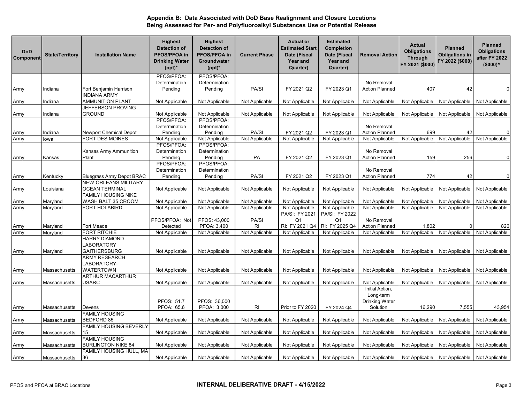| <b>DoD</b><br>Component | <b>State/Territory</b> | <b>Installation Name</b>                      | <b>Highest</b><br><b>Detection of</b><br>PFOS/PFOA in<br><b>Drinking Water</b><br>$(ppt)^*$ | <b>Highest</b><br><b>Detection of</b><br>PFOS/PFOA in<br>Groundwater<br>$(ppt)^*$ | <b>Current Phase</b> | <b>Actual or</b><br><b>Estimated Start</b><br>Date (Fiscal<br>Year and<br>Quarter) | <b>Estimated</b><br><b>Completion</b><br>Date (Fiscal<br>Year and<br>Quarter) | <b>Removal Action</b>                          | Actual<br><b>Obligations</b><br><b>Through</b><br>FY 2021 (\$000) | <b>Planned</b><br><b>Obligations in</b><br>FY 2022 (\$000) | <b>Planned</b><br><b>Obligations</b><br>after FY 2022<br>$($000)^<$ |
|-------------------------|------------------------|-----------------------------------------------|---------------------------------------------------------------------------------------------|-----------------------------------------------------------------------------------|----------------------|------------------------------------------------------------------------------------|-------------------------------------------------------------------------------|------------------------------------------------|-------------------------------------------------------------------|------------------------------------------------------------|---------------------------------------------------------------------|
|                         |                        |                                               | PFOS/PFOA:                                                                                  | PFOS/PFOA:                                                                        |                      |                                                                                    |                                                                               |                                                |                                                                   |                                                            |                                                                     |
|                         |                        |                                               | Determination                                                                               | Determination                                                                     |                      |                                                                                    |                                                                               | No Removal                                     |                                                                   |                                                            |                                                                     |
| Army                    | Indiana                | Fort Benjamin Harrison<br><b>INDIANA ARMY</b> | Pending                                                                                     | Pending                                                                           | PA/SI                | FY 2021 Q2                                                                         | FY 2023 Q1                                                                    | <b>Action Planned</b>                          | 407                                                               | 42                                                         | $\mathbf 0$                                                         |
| Army                    | Indiana                | <b>AMMUNITION PLANT</b>                       | Not Applicable                                                                              | Not Applicable                                                                    | Not Applicable       | Not Applicable                                                                     | Not Applicable                                                                | Not Applicable                                 | Not Applicable                                                    | Not Applicable                                             | Not Applicable                                                      |
|                         |                        | JEFFERSON PROVING                             |                                                                                             |                                                                                   |                      |                                                                                    |                                                                               |                                                |                                                                   |                                                            |                                                                     |
| Army                    | Indiana                | GROUND                                        | Not Applicable                                                                              | Not Applicable                                                                    | Not Applicable       | Not Applicable                                                                     | Not Applicable                                                                | Not Applicable                                 | Not Applicable                                                    | Not Applicable                                             | Not Applicable                                                      |
|                         |                        |                                               | PFOS/PFOA:                                                                                  | PFOS/PFOA:                                                                        |                      |                                                                                    |                                                                               |                                                |                                                                   |                                                            |                                                                     |
|                         |                        |                                               | Determination                                                                               | Determination                                                                     |                      |                                                                                    |                                                                               | No Removal                                     |                                                                   |                                                            |                                                                     |
| Army                    | Indiana                | Newport Chemical Depot                        | Pending                                                                                     | Pending                                                                           | PA/SI                | FY 2021 Q2                                                                         | FY 2023 Q1                                                                    | <b>Action Planned</b>                          | 699                                                               | 42                                                         | $\mathbf{0}$                                                        |
| Army                    | lowa                   | FORT DES MOINES                               | Not Applicable                                                                              | Not Applicable<br>PFOS/PFOA:                                                      | Not Applicable       | Not Applicable                                                                     | Not Applicable                                                                | Not Applicable                                 | Not Applicable                                                    | Not Applicable                                             | Not Applicable                                                      |
|                         |                        |                                               | PFOS/PFOA:<br>Determination                                                                 | Determination                                                                     |                      |                                                                                    |                                                                               | No Removal                                     |                                                                   |                                                            |                                                                     |
|                         | Kansas                 | Kansas Army Ammunition<br>Plant               | Pending                                                                                     | Pending                                                                           | PA                   | FY 2021 Q2                                                                         | FY 2023 Q1                                                                    | <b>Action Planned</b>                          | 159                                                               | 256                                                        | $\Omega$                                                            |
| Army                    |                        |                                               | PFOS/PFOA:                                                                                  | PFOS/PFOA:                                                                        |                      |                                                                                    |                                                                               |                                                |                                                                   |                                                            |                                                                     |
|                         |                        |                                               | Determination                                                                               | Determination                                                                     |                      |                                                                                    |                                                                               | No Removal                                     |                                                                   |                                                            |                                                                     |
| Army                    | Kentucky               | <b>Bluegrass Army Depot BRAC</b>              | Pending                                                                                     | Pending                                                                           | PA/SI                | FY 2021 Q2                                                                         | FY 2023 Q1                                                                    | <b>Action Planned</b>                          | 774                                                               | 42                                                         | $\overline{0}$                                                      |
|                         |                        | <b>NEW ORLEANS MILITARY</b>                   |                                                                                             |                                                                                   |                      |                                                                                    |                                                                               |                                                |                                                                   |                                                            |                                                                     |
| Army                    | ouisiana_              | <b>OCEAN TERMINAL</b>                         | Not Applicable                                                                              | Not Applicable                                                                    | Not Applicable       | Not Applicable                                                                     | Not Applicable                                                                | Not Applicable                                 | Not Applicable                                                    | Not Applicable                                             | Not Applicable                                                      |
|                         |                        | FAMILY HOUSING NIKE                           |                                                                                             |                                                                                   |                      |                                                                                    |                                                                               |                                                |                                                                   |                                                            |                                                                     |
| Army                    | Maryland               | WASH BALT 35 CROOM                            | Not Applicable                                                                              | Not Applicable                                                                    | Not Applicable       | Not Applicable                                                                     | Not Applicable                                                                | Not Applicable                                 | Not Applicable                                                    | Not Applicable                                             | Not Applicable                                                      |
| Army                    | Maryland               | FORT HOLABIRD                                 | Not Applicable                                                                              | Not Applicable                                                                    | Not Applicable       | Not Applicable                                                                     | Not Applicable                                                                | Not Applicable                                 | Not Applicable                                                    | Not Applicable                                             | Not Applicable                                                      |
|                         |                        |                                               |                                                                                             |                                                                                   |                      | PA/SI: FY 2021                                                                     | PA/SI: FY 2022                                                                |                                                |                                                                   |                                                            |                                                                     |
|                         |                        |                                               | PFOS/PFOA: Not                                                                              | PFOS: 43,000                                                                      | PA/SI                | Q <sub>1</sub>                                                                     | Q1                                                                            | No Removal                                     |                                                                   |                                                            |                                                                     |
| Army<br>Army            | Maryland<br>Maryland   | Fort Meade<br>FORT RITCHIE                    | Detected<br>Not Applicable                                                                  | PFOA: 3,400<br>Not Applicable                                                     | RI<br>Not Applicable | RI: FY 2021 Q4<br>Not Applicable                                                   | RI: FY 2025 Q4<br>Not Applicable                                              | <b>Action Planned</b><br>Not Applicable        | 1,802<br>Not Applicable                                           | Not Applicable                                             | 826<br>Not Applicable                                               |
|                         |                        | <b>HARRY DIAMOND</b>                          |                                                                                             |                                                                                   |                      |                                                                                    |                                                                               |                                                |                                                                   |                                                            |                                                                     |
|                         |                        | LABORATORY                                    |                                                                                             |                                                                                   |                      |                                                                                    |                                                                               |                                                |                                                                   |                                                            |                                                                     |
| Army                    | Maryland               | <b>GAITHERSBURG</b>                           | Not Applicable                                                                              | Not Applicable                                                                    | Not Applicable       | Not Applicable                                                                     | Not Applicable                                                                | Not Applicable                                 | Not Applicable                                                    | Not Applicable                                             | Not Applicable                                                      |
|                         |                        | ARMY RESEARCH                                 |                                                                                             |                                                                                   |                      |                                                                                    |                                                                               |                                                |                                                                   |                                                            |                                                                     |
|                         |                        | LABORATORY-                                   |                                                                                             |                                                                                   |                      |                                                                                    |                                                                               |                                                |                                                                   |                                                            |                                                                     |
| Army                    | Massachusetts          | WATERTOWN                                     | Not Applicable                                                                              | Not Applicable                                                                    | Not Applicable       | Not Applicable                                                                     | Not Applicable                                                                | Not Applicable                                 | Not Applicable                                                    | Not Applicable                                             | Not Applicable                                                      |
|                         |                        | <b>ARTHUR MACARTHUR</b>                       |                                                                                             |                                                                                   |                      |                                                                                    |                                                                               |                                                |                                                                   |                                                            |                                                                     |
| Army                    | Massachusetts          | USARC                                         | Not Applicable                                                                              | Not Applicable                                                                    | Not Applicable       | Not Applicable                                                                     | Not Applicable                                                                | Not Applicable                                 | Not Applicable                                                    | Not Applicable                                             | Not Applicable                                                      |
|                         |                        |                                               | PFOS: 51.7                                                                                  | PFOS: 36,000                                                                      |                      |                                                                                    |                                                                               | Initial Action,<br>Long-term<br>Drinking Water |                                                                   |                                                            |                                                                     |
| Army                    | Massachusetts          | Devens                                        | PFOA: 65.6                                                                                  | PFOA: 3,000                                                                       | R <sub>l</sub>       | Prior to FY 2020                                                                   | FY 2024 Q4                                                                    | Solution                                       | 16,290                                                            | 7,555                                                      | 43,954                                                              |
|                         |                        | <b>FAMILY HOUSING</b>                         |                                                                                             |                                                                                   |                      |                                                                                    |                                                                               |                                                |                                                                   |                                                            |                                                                     |
| Army                    | Massachusetts          | <b>BEDFORD 85</b>                             | Not Applicable                                                                              | Not Applicable                                                                    | Not Applicable       | Not Applicable                                                                     | Not Applicable                                                                | Not Applicable                                 | Not Applicable                                                    | Not Applicable                                             | Not Applicable                                                      |
|                         |                        | <b>FAMILY HOUSING BEVERLY</b>                 |                                                                                             |                                                                                   |                      |                                                                                    |                                                                               |                                                |                                                                   |                                                            |                                                                     |
| Army                    | Massachusetts          | 15                                            | Not Applicable                                                                              | Not Applicable                                                                    | Not Applicable       | Not Applicable                                                                     | Not Applicable                                                                | Not Applicable                                 | Not Applicable                                                    | Not Applicable                                             | Not Applicable                                                      |
|                         |                        | <b>FAMILY HOUSING</b>                         |                                                                                             |                                                                                   |                      |                                                                                    |                                                                               |                                                |                                                                   |                                                            |                                                                     |
| Army                    | Massachusetts          | <b>BURLINGTON NIKE 84</b>                     | Not Applicable                                                                              | Not Applicable                                                                    | Not Applicable       | Not Applicable                                                                     | Not Applicable                                                                | Not Applicable                                 | Not Applicable                                                    | Not Applicable                                             | Not Applicable                                                      |
|                         |                        | FAMILY HOUSING HULL, MA                       |                                                                                             |                                                                                   |                      |                                                                                    |                                                                               |                                                |                                                                   |                                                            |                                                                     |
| Army                    | Massachusetts          | 36                                            | Not Applicable                                                                              | Not Applicable                                                                    | Not Applicable       | Not Applicable                                                                     | Not Applicable                                                                | Not Applicable                                 |                                                                   | Not Applicable Not Applicable                              | Not Applicable                                                      |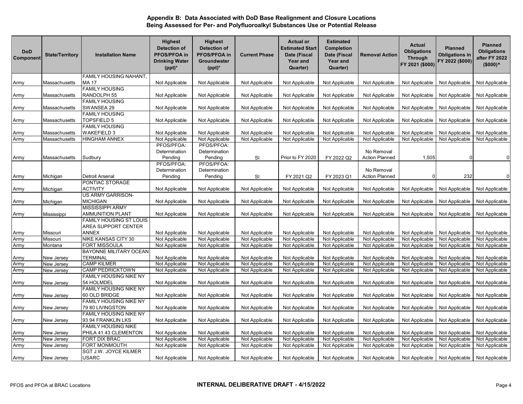| <b>DoD</b><br>Component | <b>State/Territory</b> | <b>Installation Name</b>                   | <b>Highest</b><br><b>Detection of</b><br>PFOS/PFOA in<br><b>Drinking Water</b><br>$(ppt)^*$ | <b>Highest</b><br><b>Detection of</b><br>PFOS/PFOA in<br>Groundwater<br>$(ppt)^*$ | <b>Current Phase</b>             | <b>Actual or</b><br><b>Estimated Start</b><br>Date (Fiscal<br>Year and<br>Quarter) | <b>Estimated</b><br>Completion<br>Date (Fiscal<br>Year and<br>Quarter) | <b>Removal Action</b>            | <b>Actual</b><br><b>Obligations</b><br><b>Through</b><br>FY 2021 (\$000) | <b>Planned</b><br><b>Obligations in</b><br>FY 2022 (\$000) | <b>Planned</b><br><b>Obligations</b><br>after FY 2022<br>$($000)^{\wedge}$ |
|-------------------------|------------------------|--------------------------------------------|---------------------------------------------------------------------------------------------|-----------------------------------------------------------------------------------|----------------------------------|------------------------------------------------------------------------------------|------------------------------------------------------------------------|----------------------------------|--------------------------------------------------------------------------|------------------------------------------------------------|----------------------------------------------------------------------------|
|                         |                        | FAMILY HOUSING NAHANT,                     |                                                                                             |                                                                                   |                                  |                                                                                    |                                                                        |                                  |                                                                          |                                                            |                                                                            |
| Army                    | Massachusetts          | <b>MA 17</b>                               | Not Applicable                                                                              | Not Applicable                                                                    | Not Applicable                   | Not Applicable                                                                     | Not Applicable                                                         | Not Applicable                   | Not Applicable                                                           | Not Applicable                                             | Not Applicable                                                             |
| Army                    | Massachusetts          | <b>FAMILY HOUSING</b><br>RANDOLPH 55       | Not Applicable                                                                              | Not Applicable                                                                    | Not Applicable                   | Not Applicable                                                                     | Not Applicable                                                         | Not Applicable                   | Not Applicable                                                           | Not Applicable                                             | Not Applicable                                                             |
|                         |                        | <b>FAMILY HOUSING</b>                      |                                                                                             |                                                                                   |                                  |                                                                                    |                                                                        |                                  |                                                                          |                                                            |                                                                            |
| Army                    | Massachusetts          | SWANSEA 29                                 | Not Applicable                                                                              | Not Applicable                                                                    | Not Applicable                   | Not Applicable                                                                     | Not Applicable                                                         | Not Applicable                   | Not Applicable                                                           | Not Applicable                                             | Not Applicable                                                             |
|                         |                        | <b>FAMILY HOUSING</b>                      |                                                                                             |                                                                                   |                                  |                                                                                    |                                                                        |                                  |                                                                          |                                                            |                                                                            |
| Army                    | Massachusetts          | TOPSFIELD 5                                | Not Applicable                                                                              | Not Applicable                                                                    | Not Applicable                   | Not Applicable                                                                     | Not Applicable                                                         | Not Applicable                   | Not Applicable                                                           | Not Applicable                                             | Not Applicable                                                             |
|                         |                        | <b>FAMILY HOUSING</b>                      |                                                                                             |                                                                                   |                                  |                                                                                    |                                                                        |                                  |                                                                          |                                                            |                                                                            |
| Army<br>Army            | Massachusetts          | <b>WAKEFIELD 3</b><br><b>HINGHAM ANNEX</b> | Not Applicable<br>Not Applicable                                                            | Not Applicable<br>Not Applicable                                                  | Not Applicable<br>Not Applicable | Not Applicable<br>Not Applicable                                                   | Not Applicable<br>Not Applicable                                       | Not Applicable<br>Not Applicable | Not Applicable<br>Not Applicable                                         | Not Applicable<br>Not Applicable                           | Not Applicable<br>Not Applicable                                           |
|                         | Massachusetts          |                                            | PFOS/PFOA:                                                                                  | PFOS/PFOA:                                                                        |                                  |                                                                                    |                                                                        |                                  |                                                                          |                                                            |                                                                            |
|                         |                        |                                            | Determination                                                                               | Determination                                                                     |                                  |                                                                                    |                                                                        | No Removal                       |                                                                          |                                                            |                                                                            |
| Army                    | Massachusetts          | Sudbury                                    | Pending                                                                                     | Pending                                                                           | SI                               | Prior to FY 2020                                                                   | FY 2022 Q2                                                             | <b>Action Planned</b>            | 1,505                                                                    |                                                            | $\Omega$                                                                   |
|                         |                        |                                            | PFOS/PFOA:                                                                                  | PFOS/PFOA:                                                                        |                                  |                                                                                    |                                                                        |                                  |                                                                          |                                                            |                                                                            |
|                         |                        |                                            | Determination                                                                               | Determination                                                                     |                                  |                                                                                    |                                                                        | No Removal                       |                                                                          |                                                            |                                                                            |
| Army                    | Michigan               | Detroit Arsenal                            | Pending                                                                                     | Pending                                                                           | SI                               | FY 2021 Q2                                                                         | FY 2023 Q1                                                             | <b>Action Planned</b>            | $\Omega$                                                                 | 232                                                        | $\mathbf 0$                                                                |
|                         |                        | PONTIAC STORAGE                            |                                                                                             |                                                                                   |                                  |                                                                                    |                                                                        |                                  |                                                                          |                                                            |                                                                            |
| Army                    | Michigan               | ACTIVITY                                   | Not Applicable                                                                              | Not Applicable                                                                    | Not Applicable                   | Not Applicable                                                                     | Not Applicable                                                         | Not Applicable                   | Not Applicable                                                           | Not Applicable                                             | Not Applicable                                                             |
|                         |                        | <b>US ARMY GARRISON-</b>                   |                                                                                             |                                                                                   |                                  |                                                                                    |                                                                        |                                  |                                                                          |                                                            |                                                                            |
| Army                    | Michigan               | MICHIGAN                                   | Not Applicable                                                                              | Not Applicable                                                                    | Not Applicable                   | Not Applicable                                                                     | Not Applicable                                                         | Not Applicable                   | Not Applicable                                                           | Not Applicable                                             | Not Applicable                                                             |
|                         |                        | MISSISSIPPI ARMY                           |                                                                                             |                                                                                   |                                  |                                                                                    |                                                                        |                                  |                                                                          |                                                            |                                                                            |
| Army                    | Mississippi            | <b>AMMUNITION PLANT</b>                    | Not Applicable                                                                              | Not Applicable                                                                    | Not Applicable                   | Not Applicable                                                                     | Not Applicable                                                         | Not Applicable                   | Not Applicable                                                           | Not Applicable                                             | Not Applicable                                                             |
|                         |                        | FAMILY HOUSING ST LOUIS                    |                                                                                             |                                                                                   |                                  |                                                                                    |                                                                        |                                  |                                                                          |                                                            |                                                                            |
|                         |                        | AREA SUPPORT CENTER                        |                                                                                             |                                                                                   |                                  |                                                                                    |                                                                        |                                  |                                                                          |                                                            |                                                                            |
| Army                    | Missouri               | <b>ANNEX</b>                               | Not Applicable                                                                              | Not Applicable                                                                    | Not Applicable                   | Not Applicable                                                                     | Not Applicable                                                         | Not Applicable                   | Not Applicable                                                           | Not Applicable                                             | Not Applicable                                                             |
| Army                    | Missouri               | NIKE KANSAS CITY 30                        | Not Applicable                                                                              | Not Applicable                                                                    | Not Applicable                   | Not Applicable                                                                     | Not Applicable                                                         | Not Applicable                   | Not Applicable                                                           | Not Applicable                                             | Not Applicable                                                             |
| Army                    | Montana                | <b>FORT MISSOULA</b>                       | Not Applicable                                                                              | Not Applicable                                                                    | Not Applicable                   | Not Applicable                                                                     | Not Applicable                                                         | Not Applicable                   | Not Applicable                                                           | Not Applicable                                             | Not Applicable                                                             |
|                         |                        | <b>BAYONNE MILITARY OCEAN</b>              |                                                                                             |                                                                                   |                                  |                                                                                    |                                                                        |                                  |                                                                          |                                                            |                                                                            |
| Army                    | New Jersey             | TERMINAL                                   | Not Applicable                                                                              | Not Applicable                                                                    | Not Applicable                   | Not Applicable                                                                     | Not Applicable                                                         | Not Applicable                   | Not Applicable                                                           | Not Applicable                                             | Not Applicable                                                             |
| Army                    | New Jersey             | <b>CAMP KILMER</b>                         | Not Applicable                                                                              | Not Applicable                                                                    | Not Applicable                   | Not Applicable                                                                     | Not Applicable                                                         | Not Applicable                   | Not Applicable                                                           | Not Applicable                                             | Not Applicable                                                             |
| Army                    | New Jersey             | CAMP PEDRICKTOWN                           | Not Applicable                                                                              | Not Applicable                                                                    | Not Applicable                   | Not Applicable                                                                     | Not Applicable                                                         | Not Applicable                   | Not Applicable                                                           | Not Applicable                                             | Not Applicable                                                             |
|                         |                        | <b>FAMILY HOUSING NIKE NY</b>              |                                                                                             |                                                                                   |                                  |                                                                                    |                                                                        |                                  |                                                                          |                                                            |                                                                            |
| Army                    | New Jersey             | 54 HOLMDEL<br>FAMILY HOUSING NIKE NY       | Not Applicable                                                                              | Not Applicable                                                                    | Not Applicable                   | Not Applicable                                                                     | Not Applicable                                                         | Not Applicable                   | Not Applicable                                                           | Not Applicable                                             | Not Applicable                                                             |
| Army                    | New Jersey             | 60 OLD BRIDGE                              | Not Applicable                                                                              | Not Applicable                                                                    | Not Applicable                   | Not Applicable                                                                     | Not Applicable                                                         | Not Applicable                   | Not Applicable                                                           | Not Applicable                                             | Not Applicable                                                             |
|                         |                        | FAMILY HOUSING NIKE NY                     |                                                                                             |                                                                                   |                                  |                                                                                    |                                                                        |                                  |                                                                          |                                                            |                                                                            |
| Army                    | New Jersey             | 79 80 LIVINGSTON                           | Not Applicable                                                                              | Not Applicable                                                                    | Not Applicable                   | Not Applicable                                                                     | Not Applicable                                                         | Not Applicable                   | Not Applicable                                                           | Not Applicable                                             | Not Applicable                                                             |
|                         |                        | FAMILY HOUSING NIKE NY                     |                                                                                             |                                                                                   |                                  |                                                                                    |                                                                        |                                  |                                                                          |                                                            |                                                                            |
| Army                    | New Jersey             | 93 94 FRANKLIN LKS                         | Not Applicable                                                                              | Not Applicable                                                                    | Not Applicable                   | Not Applicable                                                                     | Not Applicable                                                         | Not Applicable                   | Not Applicable                                                           | Not Applicable                                             | Not Applicable                                                             |
|                         |                        | FAMILY HOUSING NIKE                        |                                                                                             |                                                                                   |                                  |                                                                                    |                                                                        |                                  |                                                                          |                                                            |                                                                            |
| Army                    | New Jersey             | PHILA 41 43 CLEMENTON                      | Not Applicable                                                                              | Not Applicable                                                                    | Not Applicable                   | Not Applicable                                                                     | Not Applicable                                                         | Not Applicable                   | Not Applicable                                                           | Not Applicable                                             | Not Applicable                                                             |
| Army                    | New Jersey             | FORT DIX BRAC                              | Not Applicable                                                                              | Not Applicable                                                                    | Not Applicable                   | Not Applicable                                                                     | Not Applicable                                                         | Not Applicable                   | Not Applicable                                                           | Not Applicable                                             | Not Applicable                                                             |
| Army                    | New Jersey             | FORT MONMOUTH                              | Not Applicable                                                                              | Not Applicable                                                                    | Not Applicable                   | Not Applicable                                                                     | Not Applicable                                                         | Not Applicable                   | Not Applicable                                                           | Not Applicable                                             | Not Applicable                                                             |
|                         |                        | SGT J.W. JOYCE KILMER                      |                                                                                             |                                                                                   |                                  |                                                                                    |                                                                        |                                  |                                                                          |                                                            |                                                                            |
| Army                    | New Jersey             | <b>USARC</b>                               | Not Applicable                                                                              | Not Applicable                                                                    | Not Applicable                   | Not Applicable                                                                     | Not Applicable                                                         | Not Applicable                   | Not Applicable                                                           | Not Applicable                                             | Not Applicable                                                             |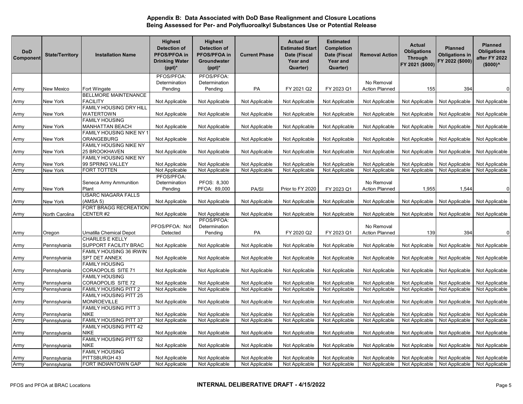| <b>DoD</b><br>Component | <b>State/Territory</b>       | <b>Installation Name</b>                    | <b>Highest</b><br><b>Detection of</b><br>PFOS/PFOA in<br><b>Drinking Water</b><br>$(ppt)^*$ | <b>Highest</b><br>Detection of<br>PFOS/PFOA in<br>Groundwater<br>$(ppt)^*$ | <b>Current Phase</b> | <b>Actual or</b><br><b>Estimated Start</b><br>Date (Fiscal<br><b>Year and</b><br>Quarter) | <b>Estimated</b><br><b>Completion</b><br>Date (Fiscal<br>Year and<br>Quarter) | <b>Removal Action</b> | <b>Actual</b><br><b>Obligations</b><br>Through<br>FY 2021 (\$000) | Planned<br><b>Obligations in</b><br>FY 2022 (\$000) | <b>Planned</b><br><b>Obligations</b><br>after FY 2022<br>$($000)^<$ |
|-------------------------|------------------------------|---------------------------------------------|---------------------------------------------------------------------------------------------|----------------------------------------------------------------------------|----------------------|-------------------------------------------------------------------------------------------|-------------------------------------------------------------------------------|-----------------------|-------------------------------------------------------------------|-----------------------------------------------------|---------------------------------------------------------------------|
|                         |                              |                                             | PFOS/PFOA:                                                                                  | PFOS/PFOA:                                                                 |                      |                                                                                           |                                                                               |                       |                                                                   |                                                     |                                                                     |
|                         |                              |                                             | Determination                                                                               | Determination                                                              |                      |                                                                                           |                                                                               | No Removal            |                                                                   |                                                     |                                                                     |
| Army                    | New Mexico                   | Fort Wingate                                | Pending                                                                                     | Pending                                                                    | PA                   | FY 2021 Q2                                                                                | FY 2023 Q1                                                                    | <b>Action Planned</b> | 155                                                               | 394                                                 | $\mathbf 0$                                                         |
|                         |                              | <b>BELLMORE MAINTENANCE</b>                 |                                                                                             |                                                                            |                      |                                                                                           |                                                                               |                       |                                                                   |                                                     |                                                                     |
| Army                    | New York                     | <b>FACILITY</b>                             | Not Applicable                                                                              | Not Applicable                                                             | Not Applicable       | Not Applicable                                                                            | Not Applicable                                                                | Not Applicable        | Not Applicable                                                    | Not Applicable                                      | Not Applicable                                                      |
|                         |                              | <b>FAMILY HOUSING DRY HILL</b>              |                                                                                             |                                                                            |                      |                                                                                           |                                                                               |                       |                                                                   |                                                     |                                                                     |
| Army                    | New York                     | WATERTOWN<br><b>FAMILY HOUSING</b>          | Not Applicable                                                                              | Not Applicable                                                             | Not Applicable       | Not Applicable                                                                            | Not Applicable                                                                | Not Applicable        | Not Applicable                                                    | Not Applicable                                      | Not Applicable                                                      |
|                         | New York                     | <b>MANHATTAN BEACH</b>                      | Not Applicable                                                                              | Not Applicable                                                             | Not Applicable       | Not Applicable                                                                            | Not Applicable                                                                | Not Applicable        | Not Applicable                                                    | Not Applicable                                      | Not Applicable                                                      |
| Army                    |                              | FAMILY HOUSING NIKE NY 1                    |                                                                                             |                                                                            |                      |                                                                                           |                                                                               |                       |                                                                   |                                                     |                                                                     |
| Army                    | New York                     | ORANGEBURG                                  | Not Applicable                                                                              | Not Applicable                                                             | Not Applicable       | Not Applicable                                                                            | Not Applicable                                                                | Not Applicable        | Not Applicable                                                    | Not Applicable                                      | Not Applicable                                                      |
|                         |                              | <b>FAMILY HOUSING NIKE NY</b>               |                                                                                             |                                                                            |                      |                                                                                           |                                                                               |                       |                                                                   |                                                     |                                                                     |
| Army                    | New York                     | <b>25 BROOKHAVEN</b>                        | Not Applicable                                                                              | Not Applicable                                                             | Not Applicable       | Not Applicable                                                                            | Not Applicable                                                                | Not Applicable        | Not Applicable                                                    | Not Applicable                                      | Not Applicable                                                      |
|                         |                              | <b>FAMILY HOUSING NIKE NY</b>               |                                                                                             |                                                                            |                      |                                                                                           |                                                                               |                       |                                                                   |                                                     |                                                                     |
| Army                    | New York                     | 99 SPRING VALLEY                            | Not Applicable                                                                              | Not Applicable                                                             | Not Applicable       | Not Applicable                                                                            | Not Applicable                                                                | Not Applicable        | Not Applicable                                                    | Not Applicable                                      | Not Applicable                                                      |
| Army                    | New York                     | FORT TOTTEN                                 | Not Applicable                                                                              | Not Applicable                                                             | Not Applicable       | Not Applicable                                                                            | Not Applicable                                                                | Not Applicable        | Not Applicable                                                    | Not Applicable                                      | Not Applicable                                                      |
|                         |                              |                                             | PFOS/PFOA:                                                                                  |                                                                            |                      |                                                                                           |                                                                               |                       |                                                                   |                                                     |                                                                     |
|                         |                              | Seneca Army Ammunition                      | Determination                                                                               | PFOS: 8,300                                                                |                      |                                                                                           |                                                                               | No Removal            |                                                                   |                                                     |                                                                     |
| Army                    | New York                     | Plant                                       | Pending                                                                                     | PFOA: 89,000                                                               | PA/SI                | Prior to FY 2020                                                                          | FY 2023 Q1                                                                    | <b>Action Planned</b> | 1,955                                                             | 1,544                                               | $\mathbf 0$                                                         |
|                         |                              | USARC NIAGARA FALLS                         |                                                                                             |                                                                            |                      |                                                                                           |                                                                               |                       |                                                                   |                                                     |                                                                     |
| Army                    | New York                     | (AMSA 5)                                    | Not Applicable                                                                              | Not Applicable                                                             | Not Applicable       | Not Applicable                                                                            | Not Applicable                                                                | Not Applicable        | Not Applicable                                                    | Not Applicable                                      | Not Applicable                                                      |
| Army                    | North Carolina               | FORT BRAGG RECREATION<br>CENTER #2          | Not Applicable                                                                              | Not Applicable                                                             | Not Applicable       | Not Applicable                                                                            | Not Applicable                                                                | Not Applicable        | Not Applicable                                                    | Not Applicable                                      | Not Applicable                                                      |
|                         |                              |                                             | PFOS/PFOA: Not                                                                              | PFOS/PFOA:<br>Determination                                                |                      |                                                                                           |                                                                               | No Removal            |                                                                   |                                                     |                                                                     |
| Army                    | Oregon                       | Umatilla Chemical Depot                     | Detected                                                                                    | Pending                                                                    | PA                   | FY 2020 Q2                                                                                | FY 2023 Q1                                                                    | Action Planned        | 139                                                               | 394                                                 | $\mathbf 0$                                                         |
|                         |                              | <b>CHARLES E KELLY</b>                      |                                                                                             |                                                                            |                      |                                                                                           |                                                                               |                       |                                                                   |                                                     |                                                                     |
| Army                    | Pennsylvania                 | SUPPORT FACILITY BRAC                       | Not Applicable                                                                              | Not Applicable                                                             | Not Applicable       | Not Applicable                                                                            | Not Applicable                                                                | Not Applicable        | Not Applicable                                                    | Not Applicable                                      | Not Applicable                                                      |
|                         |                              | FAMILY HOUSING 36 IRWIN                     |                                                                                             |                                                                            |                      |                                                                                           |                                                                               |                       |                                                                   |                                                     |                                                                     |
| Army                    | Pennsylvania                 | SPT DET ANNEX                               | Not Applicable                                                                              | Not Applicable                                                             | Not Applicable       | Not Applicable                                                                            | Not Applicable                                                                | Not Applicable        | Not Applicable                                                    | Not Applicable                                      | Not Applicable                                                      |
| Army                    | Pennsylvania                 | <b>FAMILY HOUSING</b><br>CORAOPOLIS SITE 71 | Not Applicable                                                                              | Not Applicable                                                             | Not Applicable       | Not Applicable                                                                            | Not Applicable                                                                | Not Applicable        | Not Applicable                                                    | Not Applicable                                      | Not Applicable                                                      |
|                         |                              | <b>FAMILY HOUSING</b>                       |                                                                                             |                                                                            |                      |                                                                                           |                                                                               |                       |                                                                   |                                                     |                                                                     |
| Army                    | Pennsylvania                 | CORAOPOLIS SITE 72                          | Not Applicable                                                                              | Not Applicable                                                             | Not Applicable       | Not Applicable                                                                            | Not Applicable                                                                | Not Applicable        | Not Applicable                                                    | Not Applicable                                      | Not Applicable                                                      |
| Army                    | Pennsylvania                 | <b>FAMILY HOUSING PITT 2</b>                | Not Applicable                                                                              | Not Applicable                                                             | Not Applicable       | Not Applicable                                                                            | Not Applicable                                                                | Not Applicable        | Not Applicable                                                    | Not Applicable                                      | Not Applicable                                                      |
|                         |                              | FAMILY HOUSING PITT 25                      |                                                                                             |                                                                            |                      |                                                                                           |                                                                               |                       |                                                                   |                                                     |                                                                     |
| Army                    | Pennsylvania                 | MONROEVILLE                                 | Not Applicable                                                                              | Not Applicable                                                             | Not Applicable       | Not Applicable                                                                            | Not Applicable                                                                | Not Applicable        | Not Applicable                                                    | Not Applicable                                      | Not Applicable                                                      |
|                         |                              | FAMILY HOUSING PITT 3                       |                                                                                             |                                                                            |                      |                                                                                           |                                                                               |                       |                                                                   |                                                     |                                                                     |
| Army                    | Pennsylvania                 | <b>NIKE</b>                                 | Not Applicable                                                                              | Not Applicable                                                             | Not Applicable       | Not Applicable                                                                            | Not Applicable                                                                | Not Applicable        | Not Applicable                                                    | Not Applicable                                      | Not Applicable                                                      |
| Army                    | Pennsylvania                 | FAMILY HOUSING PITT 37                      | Not Applicable                                                                              | Not Applicable                                                             | Not Applicable       | Not Applicable                                                                            | Not Applicable                                                                | Not Applicable        | Not Applicable                                                    | Not Applicable                                      | Not Applicable                                                      |
|                         |                              | FAMILY HOUSING PITT 42                      |                                                                                             |                                                                            |                      |                                                                                           |                                                                               |                       |                                                                   |                                                     |                                                                     |
| Army                    | Pennsylvania                 | <b>NIKE</b>                                 | Not Applicable                                                                              | Not Applicable                                                             | Not Applicable       | Not Applicable                                                                            | Not Applicable                                                                | Not Applicable        | Not Applicable                                                    | Not Applicable                                      | Not Applicable                                                      |
|                         |                              | FAMILY HOUSING PITT 52                      |                                                                                             |                                                                            |                      |                                                                                           |                                                                               |                       |                                                                   |                                                     |                                                                     |
| Army                    | Pennsylvania                 | <b>NIKE</b>                                 | Not Applicable                                                                              | Not Applicable                                                             | Not Applicable       | Not Applicable                                                                            | Not Applicable                                                                | Not Applicable        | Not Applicable                                                    | Not Applicable                                      | Not Applicable                                                      |
|                         |                              | <b>FAMILY HOUSING</b><br>PITTSBURGH 43      | Not Applicable                                                                              | Not Applicable                                                             | Not Applicable       | Not Applicable                                                                            | Not Applicable                                                                | Not Applicable        | Not Applicable                                                    | Not Applicable                                      | Not Applicable                                                      |
| Army<br>Army            | Pennsylvania<br>Pennsylvania | FORT INDIANTOWN GAP                         | Not Applicable                                                                              | Not Applicable                                                             | Not Applicable       | Not Applicable                                                                            | Not Applicable                                                                | Not Applicable        | Not Applicable                                                    | Not Applicable                                      | Not Applicable                                                      |
|                         |                              |                                             |                                                                                             |                                                                            |                      |                                                                                           |                                                                               |                       |                                                                   |                                                     |                                                                     |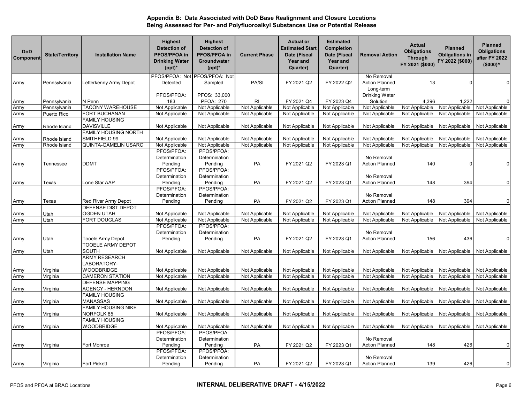| <b>DoD</b><br>Component | <b>State/Territory</b> | <b>Installation Name</b>    | <b>Highest</b><br><b>Detection of</b><br>PFOS/PFOA in<br><b>Drinking Water</b><br>$(ppt)^*$ | <b>Highest</b><br><b>Detection of</b><br>PFOS/PFOA in<br>Groundwater<br>$(ppt)^*$ | <b>Current Phase</b> | <b>Actual or</b><br><b>Estimated Start</b><br>Date (Fiscal<br>Year and<br>Quarter) | <b>Estimated</b><br><b>Completion</b><br>Date (Fiscal<br><b>Year and</b><br>Quarter) | <b>Removal Action</b> | <b>Actual</b><br><b>Obligations</b><br><b>Through</b><br>FY 2021 (\$000) | <b>Planned</b><br><b>Obligations in</b><br>FY 2022 (\$000) | <b>Planned</b><br><b>Obligations</b><br>after FY 2022<br>$($000)^<$ |
|-------------------------|------------------------|-----------------------------|---------------------------------------------------------------------------------------------|-----------------------------------------------------------------------------------|----------------------|------------------------------------------------------------------------------------|--------------------------------------------------------------------------------------|-----------------------|--------------------------------------------------------------------------|------------------------------------------------------------|---------------------------------------------------------------------|
|                         |                        |                             | PFOS/PFOA: Not                                                                              | PFOS/PFOA: Not                                                                    |                      |                                                                                    |                                                                                      | No Removal            |                                                                          |                                                            |                                                                     |
| Army                    | Pennsylvania           | Letterkenny Army Depot      | Detected                                                                                    | Sampled                                                                           | PA/SI                | FY 2021 Q2                                                                         | FY 2022 Q2                                                                           | <b>Action Planned</b> | 13                                                                       | $\Omega$                                                   | $\mathbf 0$                                                         |
|                         |                        |                             |                                                                                             |                                                                                   |                      |                                                                                    |                                                                                      | Long-term             |                                                                          |                                                            |                                                                     |
|                         |                        |                             | PFOS/PFOA:                                                                                  | PFOS: 33,000                                                                      |                      |                                                                                    |                                                                                      | Drinking Water        |                                                                          |                                                            |                                                                     |
| Army                    | Pennsylvania           | N Penn                      | 183                                                                                         | <b>PFOA: 270</b>                                                                  | <b>RI</b>            | FY 2021 Q4                                                                         | FY 2023 Q4                                                                           | Solution              | 4,396                                                                    | 1,222                                                      | $\mathbf 0$                                                         |
| Army                    | Pennsylvania           | <b>TACONY WAREHOUSE</b>     | Not Applicable                                                                              | Not Applicable                                                                    | Not Applicable       | Not Applicable                                                                     | Not Applicable                                                                       | Not Applicable        | Not Applicable                                                           | Not Applicable                                             | Not Applicable                                                      |
| Army                    | Puerto Rico            | FORT BUCHANAN               | Not Applicable                                                                              | Not Applicable                                                                    | Not Applicable       | Not Applicable                                                                     | Not Applicable                                                                       | Not Applicable        | Not Applicable                                                           | Not Applicable                                             | Not Applicable                                                      |
|                         |                        | <b>FAMILY HOUSING</b>       |                                                                                             |                                                                                   |                      |                                                                                    |                                                                                      |                       |                                                                          |                                                            |                                                                     |
| Army                    | Rhode Island           | <b>DAVISVILLE</b>           | Not Applicable                                                                              | Not Applicable                                                                    | Not Applicable       | Not Applicable                                                                     | Not Applicable                                                                       | Not Applicable        | Not Applicable                                                           | Not Applicable                                             | Not Applicable                                                      |
|                         |                        | FAMILY HOUSING NORTH        |                                                                                             |                                                                                   |                      |                                                                                    |                                                                                      |                       |                                                                          |                                                            |                                                                     |
| Army                    | Rhode Island           | SMITHFIELD 99               | Not Applicable                                                                              | Not Applicable                                                                    | Not Applicable       | Not Applicable                                                                     | Not Applicable                                                                       | Not Applicable        | Not Applicable                                                           | Not Applicable                                             | Not Applicable                                                      |
| Army                    | Rhode Island           | <b>QUINTA-GAMELIN USARC</b> | Not Applicable                                                                              | Not Applicable                                                                    | Not Applicable       | Not Applicable                                                                     | Not Applicable                                                                       | Not Applicable        | Not Applicable                                                           | Not Applicable                                             | Not Applicable                                                      |
|                         |                        |                             | PFOS/PFOA:                                                                                  | PFOS/PFOA:                                                                        |                      |                                                                                    |                                                                                      |                       |                                                                          |                                                            |                                                                     |
|                         |                        |                             | Determination                                                                               | Determination                                                                     |                      |                                                                                    |                                                                                      | No Removal            |                                                                          |                                                            |                                                                     |
| Army                    | Tennessee              | <b>DDMT</b>                 | Pending                                                                                     | Pending                                                                           | PA                   | FY 2021 Q2                                                                         | FY 2023 Q1                                                                           | <b>Action Planned</b> | 140                                                                      |                                                            | $\mathbf 0$                                                         |
|                         |                        |                             | PFOS/PFOA:                                                                                  | PFOS/PFOA:                                                                        |                      |                                                                                    |                                                                                      |                       |                                                                          |                                                            |                                                                     |
|                         |                        |                             | Determination                                                                               | Determination                                                                     |                      |                                                                                    |                                                                                      | No Removal            |                                                                          |                                                            |                                                                     |
| Army                    | Texas                  | Lone Star AAP               | Pending                                                                                     | Pending                                                                           | PA                   | FY 2021 Q2                                                                         | FY 2023 Q1                                                                           | <b>Action Planned</b> | 148                                                                      | 394                                                        | $\mathbf 0$                                                         |
|                         |                        |                             | PFOS/PFOA:                                                                                  | PFOS/PFOA:                                                                        |                      |                                                                                    |                                                                                      |                       |                                                                          |                                                            |                                                                     |
|                         |                        |                             | Determination                                                                               | Determination                                                                     |                      |                                                                                    |                                                                                      | No Removal            |                                                                          |                                                            |                                                                     |
| Army                    | Texas                  | Red River Army Depot        | Pending                                                                                     | Pending                                                                           | PA                   | FY 2021 Q2                                                                         | FY 2023 Q1                                                                           | <b>Action Planned</b> | 148                                                                      | 394                                                        | $\mathbf 0$                                                         |
|                         |                        | DEFENSE DIST DEPOT          |                                                                                             |                                                                                   |                      |                                                                                    |                                                                                      |                       |                                                                          |                                                            |                                                                     |
| Army                    | Utah                   | <b>OGDEN UTAH</b>           | Not Applicable                                                                              | Not Applicable                                                                    | Not Applicable       | Not Applicable                                                                     | Not Applicable                                                                       | Not Applicable        | Not Applicable                                                           | Not Applicable                                             | Not Applicable                                                      |
| Army                    | Utah                   | FORT DOUGLAS                | Not Applicable                                                                              | Not Applicable                                                                    | Not Applicable       | Not Applicable                                                                     | Not Applicable                                                                       | Not Applicable        | Not Applicable                                                           | Not Applicable                                             | Not Applicable                                                      |
|                         |                        |                             | PFOS/PFOA:                                                                                  | PFOS/PFOA:                                                                        |                      |                                                                                    |                                                                                      |                       |                                                                          |                                                            |                                                                     |
|                         |                        |                             | Determination                                                                               | Determination                                                                     |                      |                                                                                    |                                                                                      | No Removal            |                                                                          |                                                            |                                                                     |
| Army                    | Utah                   | <b>Tooele Army Depot</b>    | Pending                                                                                     | Pending                                                                           | PA                   | FY 2021 Q2                                                                         | FY 2023 Q1                                                                           | <b>Action Planned</b> | 156                                                                      | 436                                                        | $\mathbf 0$                                                         |
|                         |                        | <b>TOOELE ARMY DEPOT</b>    |                                                                                             |                                                                                   |                      |                                                                                    |                                                                                      |                       |                                                                          |                                                            |                                                                     |
| Army                    | Utah                   | <b>SOUTH</b>                | Not Applicable                                                                              | Not Applicable                                                                    | Not Applicable       | Not Applicable                                                                     | Not Applicable                                                                       | Not Applicable        | Not Applicable                                                           | Not Applicable                                             | Not Applicable                                                      |
|                         |                        | <b>ARMY RESEARCH</b>        |                                                                                             |                                                                                   |                      |                                                                                    |                                                                                      |                       |                                                                          |                                                            |                                                                     |
|                         |                        | LABORATORY-                 |                                                                                             |                                                                                   |                      |                                                                                    |                                                                                      |                       |                                                                          |                                                            |                                                                     |
| Army                    | Virginia               | <b>WOODBRIDGE</b>           | Not Applicable                                                                              | Not Applicable                                                                    | Not Applicable       | Not Applicable                                                                     | Not Applicable                                                                       | Not Applicable        | Not Applicable                                                           | Not Applicable                                             | Not Applicable                                                      |
| Army                    | Virginia               | <b>CAMERON STATION</b>      | Not Applicable                                                                              | Not Applicable                                                                    | Not Applicable       | Not Applicable                                                                     | Not Applicable                                                                       | Not Applicable        | Not Applicable                                                           | Not Applicable                                             | Not Applicable                                                      |
|                         |                        | <b>DEFENSE MAPPING</b>      |                                                                                             |                                                                                   |                      |                                                                                    |                                                                                      |                       |                                                                          |                                                            |                                                                     |
| Army                    | Virginia               | AGENCY - HERNDON            | Not Applicable                                                                              | Not Applicable                                                                    | Not Applicable       | Not Applicable                                                                     | Not Applicable                                                                       | Not Applicable        | Not Applicable                                                           | Not Applicable                                             | Not Applicable                                                      |
|                         |                        | <b>FAMILY HOUSING</b>       |                                                                                             |                                                                                   |                      |                                                                                    |                                                                                      |                       |                                                                          |                                                            |                                                                     |
| Army                    | Virginia               | MANASSAS                    | Not Applicable                                                                              | Not Applicable                                                                    | Not Applicable       | Not Applicable                                                                     | Not Applicable                                                                       | Not Applicable        | Not Applicable                                                           | Not Applicable                                             | Not Applicable                                                      |
|                         |                        | FAMILY HOUSING NIKE         |                                                                                             |                                                                                   |                      |                                                                                    |                                                                                      |                       |                                                                          |                                                            |                                                                     |
| Army                    | Virginia               | NORFOLK 85                  | Not Applicable                                                                              | Not Applicable                                                                    | Not Applicable       | Not Applicable                                                                     | Not Applicable                                                                       | Not Applicable        | Not Applicable                                                           | Not Applicable                                             | Not Applicable                                                      |
|                         |                        | <b>FAMILY HOUSING</b>       |                                                                                             |                                                                                   |                      |                                                                                    |                                                                                      |                       |                                                                          |                                                            |                                                                     |
| Army                    | Virginia               | <b>WOODBRIDGE</b>           | Not Applicable                                                                              | Not Applicable                                                                    | Not Applicable       | Not Applicable                                                                     | Not Applicable                                                                       | Not Applicable        | Not Applicable                                                           | Not Applicable                                             | Not Applicable                                                      |
|                         |                        |                             | PFOS/PFOA:                                                                                  | PFOS/PFOA:                                                                        |                      |                                                                                    |                                                                                      |                       |                                                                          |                                                            |                                                                     |
|                         |                        |                             | Determination                                                                               | Determination                                                                     |                      |                                                                                    |                                                                                      | No Removal            |                                                                          |                                                            |                                                                     |
| Army                    | Virginia               | Fort Monroe                 | Pending                                                                                     | Pending                                                                           | PA                   | FY 2021 Q2                                                                         | FY 2023 Q1                                                                           | <b>Action Planned</b> | 148                                                                      | 426                                                        | $\mathbf 0$                                                         |
|                         |                        |                             | PFOS/PFOA:                                                                                  | PFOS/PFOA:                                                                        |                      |                                                                                    |                                                                                      |                       |                                                                          |                                                            |                                                                     |
|                         |                        |                             | Determination                                                                               | Determination                                                                     |                      |                                                                                    |                                                                                      | No Removal            |                                                                          |                                                            |                                                                     |
| Army                    | Virginia               | Fort Pickett                | Pending                                                                                     | Pending                                                                           | PA                   | FY 2021 Q2                                                                         | FY 2023 Q1                                                                           | <b>Action Planned</b> | 139                                                                      | 426                                                        | $\Omega$                                                            |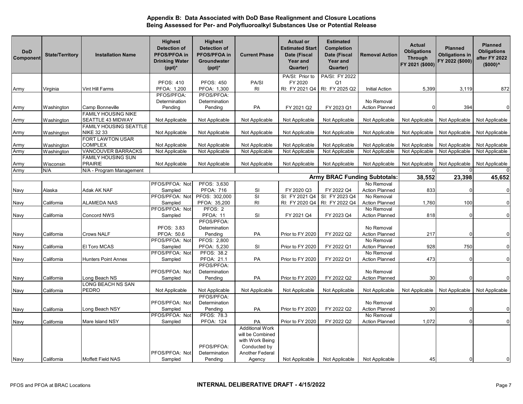| <b>DoD</b><br>Component | <b>State/Territory</b> | <b>Installation Name</b>             | <b>Highest</b><br><b>Detection of</b><br>PFOS/PFOA in<br><b>Drinking Water</b><br>$(ppt)^*$ | <b>Highest</b><br><b>Detection of</b><br>PFOS/PFOA in<br>Groundwater<br>$(ppt)^*$ | <b>Current Phase</b>                                          | <b>Actual or</b><br><b>Estimated Start</b><br>Date (Fiscal<br>Year and<br>Quarter) | <b>Estimated</b><br>Completion<br>Date (Fiscal<br>Year and<br>Quarter) | <b>Removal Action</b>               | Actual<br><b>Obligations</b><br><b>Through</b><br>FY 2021 (\$000) | <b>Planned</b><br><b>Obligations in</b><br>FY 2022 (\$000) | <b>Planned</b><br><b>Obligations</b><br>after FY 2022<br>$($000)^<$ |
|-------------------------|------------------------|--------------------------------------|---------------------------------------------------------------------------------------------|-----------------------------------------------------------------------------------|---------------------------------------------------------------|------------------------------------------------------------------------------------|------------------------------------------------------------------------|-------------------------------------|-------------------------------------------------------------------|------------------------------------------------------------|---------------------------------------------------------------------|
|                         |                        |                                      |                                                                                             |                                                                                   |                                                               | PA/SI: Prior to                                                                    | PA/SI: FY 2022                                                         |                                     |                                                                   |                                                            |                                                                     |
|                         |                        |                                      | <b>PFOS: 410</b>                                                                            | <b>PFOS: 450</b>                                                                  | PA/SI                                                         | FY 2020                                                                            | Q <sub>1</sub>                                                         |                                     |                                                                   |                                                            |                                                                     |
| Army                    | Virginia               | Vint Hill Farms                      | PFOA: 1,200                                                                                 | PFOA: 1,300                                                                       | RI                                                            | RI: FY 2021 Q4                                                                     | RI: FY 2025 Q2                                                         | <b>Initial Action</b>               | 5,399                                                             | 3,119                                                      | 872                                                                 |
|                         |                        |                                      | PFOS/PFOA:                                                                                  | PFOS/PFOA:                                                                        |                                                               |                                                                                    |                                                                        |                                     |                                                                   |                                                            |                                                                     |
|                         |                        |                                      | Determination                                                                               | Determination                                                                     |                                                               |                                                                                    |                                                                        | No Removal                          |                                                                   |                                                            |                                                                     |
| Army                    | Washington             | Camp Bonneville                      | Pending                                                                                     | Pending                                                                           | PA                                                            | FY 2021 Q2                                                                         | FY 2023 Q1                                                             | <b>Action Planned</b>               | 0                                                                 | 394                                                        | $\mathbf 0$                                                         |
|                         |                        | <b>FAMILY HOUSING NIKE</b>           |                                                                                             |                                                                                   |                                                               |                                                                                    |                                                                        |                                     |                                                                   |                                                            |                                                                     |
| Army                    | Washington             | SEATTLE 43 MIDWAY                    | Not Applicable                                                                              | Not Applicable                                                                    | Not Applicable                                                | Not Applicable                                                                     | Not Applicable                                                         | Not Applicable                      | Not Applicable                                                    | Not Applicable                                             | Not Applicable                                                      |
|                         |                        | <b>FAMILY HOUSING SEATTLE</b>        |                                                                                             |                                                                                   |                                                               |                                                                                    |                                                                        |                                     |                                                                   |                                                            |                                                                     |
| Army                    | Washington             | NIKE 32 33                           | Not Applicable                                                                              | Not Applicable                                                                    | Not Applicable                                                | Not Applicable                                                                     | Not Applicable                                                         | Not Applicable                      | Not Applicable                                                    | Not Applicable                                             | Not Applicable                                                      |
|                         |                        | <b>FORT LAWTON USAR</b>              |                                                                                             |                                                                                   |                                                               |                                                                                    |                                                                        |                                     |                                                                   |                                                            |                                                                     |
| Army                    | Washington             | <b>COMPLEX</b>                       | Not Applicable                                                                              | Not Applicable                                                                    | Not Applicable                                                | Not Applicable                                                                     | Not Applicable                                                         | Not Applicable                      | Not Applicable                                                    | Not Applicable                                             | Not Applicable                                                      |
| Army                    | Washington             | <b>VANCOUVER BARRACKS</b>            | Not Applicable                                                                              | Not Applicable                                                                    | Not Applicable                                                | Not Applicable                                                                     | Not Applicable                                                         | Not Applicable                      | Not Applicable                                                    | Not Applicable                                             | Not Applicable                                                      |
|                         |                        | FAMILY HOUSING SUN<br><b>PRAIRIE</b> | Not Applicable                                                                              | Not Applicable                                                                    |                                                               |                                                                                    | Not Applicable                                                         |                                     | Not Applicable                                                    | Not Applicable                                             | Not Applicable                                                      |
| Army                    | Wisconsin<br>N/A       | N/A - Program Management             |                                                                                             |                                                                                   | Not Applicable                                                | Not Applicable                                                                     |                                                                        | Not Applicable                      |                                                                   |                                                            |                                                                     |
| Army                    |                        |                                      |                                                                                             |                                                                                   |                                                               |                                                                                    | <b>Army BRAC Funding Subtotals</b>                                     |                                     | 38,552                                                            | 23,398                                                     | 45,652                                                              |
|                         |                        |                                      |                                                                                             |                                                                                   |                                                               |                                                                                    |                                                                        | No Removal                          |                                                                   |                                                            |                                                                     |
|                         |                        |                                      | PFOS/PFOA: Not                                                                              | PFOS: 3,630                                                                       |                                                               |                                                                                    |                                                                        |                                     |                                                                   |                                                            |                                                                     |
| Navy                    | Alaska                 | Adak AK NAF                          | Sampled<br>PFOS/PFOA: Not                                                                   | <b>PFOA: 716</b><br>PFOS: 302,000                                                 | SI<br>SI                                                      | FY 2020 Q3<br>SI: FY 2021 Q4                                                       | FY 2022 Q4<br>SI: FY 2023 Q4                                           | <b>Action Planned</b><br>No Removal | 833                                                               |                                                            | $\overline{0}$                                                      |
|                         | California             | ALAMEDA NAS                          | Sampled                                                                                     | PFOA: 35,200                                                                      | <b>RI</b>                                                     | RI: FY 2020 Q4                                                                     | RI: FY 2022 Q4                                                         | <b>Action Planned</b>               | 1,760                                                             | 100                                                        | $\mathbf 0$                                                         |
| Navy                    |                        |                                      | PFOS/PFOA: Not                                                                              | PFOS: 2                                                                           |                                                               |                                                                                    |                                                                        | No Removal                          |                                                                   |                                                            |                                                                     |
| Navy                    | California             | Concord NWS                          | Sampled                                                                                     | <b>PFOA: 11</b>                                                                   | SI                                                            | FY 2021 Q4                                                                         | FY 2023 Q4                                                             | <b>Action Planned</b>               | 818                                                               |                                                            | $\overline{0}$                                                      |
|                         |                        |                                      |                                                                                             | PFOS/PFOA:                                                                        |                                                               |                                                                                    |                                                                        |                                     |                                                                   |                                                            |                                                                     |
|                         |                        |                                      | PFOS: 3.83                                                                                  | Determination                                                                     |                                                               |                                                                                    |                                                                        | No Removal                          |                                                                   |                                                            |                                                                     |
| Navy                    | California             | <b>Crows NALF</b>                    | PFOA: 50.6                                                                                  | Pending                                                                           | PA                                                            | Prior to FY 2020                                                                   | FY 2022 Q2                                                             | <b>Action Planned</b>               | 217                                                               |                                                            | $\mathbf 0$                                                         |
|                         |                        |                                      | PFOS/PFOA: Not                                                                              | PFOS: 2,800                                                                       |                                                               |                                                                                    |                                                                        | No Removal                          |                                                                   |                                                            |                                                                     |
| Navy                    | California             | El Toro MCAS                         | Sampled                                                                                     | PFOA: 5,230                                                                       | SI                                                            | Prior to FY 2020                                                                   | FY 2022 Q1                                                             | <b>Action Planned</b>               | 928                                                               | 750                                                        | $\mathbf 0$                                                         |
|                         |                        |                                      | PFOS/PFOA: Not                                                                              | <b>PFOS: 38.2</b>                                                                 |                                                               |                                                                                    |                                                                        | No Removal                          |                                                                   |                                                            |                                                                     |
| Navy                    | California             | <b>Hunters Point Annex</b>           | Sampled                                                                                     | PFOA: 21.1                                                                        | PA                                                            | Prior to FY 2020                                                                   | FY 2022 Q1                                                             | <b>Action Planned</b>               | 473                                                               |                                                            | $\Omega$                                                            |
|                         |                        |                                      |                                                                                             | PFOS/PFOA:                                                                        |                                                               |                                                                                    |                                                                        |                                     |                                                                   |                                                            |                                                                     |
|                         |                        |                                      | PFOS/PFOA: Not                                                                              | Determination                                                                     |                                                               |                                                                                    |                                                                        | No Removal                          |                                                                   |                                                            |                                                                     |
| Navy                    | California             | Long Beach NS                        | Sampled                                                                                     | Pending                                                                           | PA                                                            | Prior to FY 2020                                                                   | FY 2022 Q2                                                             | <b>Action Planned</b>               | 30                                                                |                                                            | $\mathbf 0$                                                         |
|                         |                        | LONG BEACH NS SAN                    |                                                                                             |                                                                                   |                                                               |                                                                                    |                                                                        |                                     |                                                                   |                                                            |                                                                     |
| Navy                    | California             | PEDRO                                | Not Applicable                                                                              | Not Applicable                                                                    | Not Applicable                                                | Not Applicable                                                                     | Not Applicable                                                         | Not Applicable                      | Not Applicable                                                    | Not Applicable                                             | Not Applicable                                                      |
|                         |                        |                                      |                                                                                             | PFOS/PFOA:                                                                        |                                                               |                                                                                    |                                                                        |                                     |                                                                   |                                                            |                                                                     |
|                         |                        |                                      | PFOS/PFOA: Not                                                                              | Determination                                                                     |                                                               |                                                                                    |                                                                        | No Removal                          |                                                                   |                                                            |                                                                     |
| Navy                    | California             | Long Beach NSY                       | Sampled                                                                                     | Pending                                                                           | PA                                                            | Prior to FY 2020                                                                   | FY 2022 Q2                                                             | <b>Action Planned</b>               | 30                                                                |                                                            | $\mathbf 0$                                                         |
|                         |                        |                                      | PFOS/PFOA: Not                                                                              | PFOS: 78.3                                                                        |                                                               |                                                                                    |                                                                        | No Removal                          |                                                                   |                                                            |                                                                     |
| Navy                    | California             | Mare Island NSY                      | Sampled                                                                                     | <b>PFOA: 124</b>                                                                  | PA                                                            | Prior to FY 2020                                                                   | FY 2022 Q2                                                             | <b>Action Planned</b>               | 1,072                                                             |                                                            | $\overline{0}$                                                      |
|                         |                        |                                      |                                                                                             |                                                                                   | <b>Additional Work</b><br>will be Combined<br>with Work Being |                                                                                    |                                                                        |                                     |                                                                   |                                                            |                                                                     |
|                         |                        |                                      |                                                                                             | PFOS/PFOA:                                                                        | Conducted by                                                  |                                                                                    |                                                                        |                                     |                                                                   |                                                            |                                                                     |
|                         |                        |                                      | PFOS/PFOA: Not                                                                              | Determination                                                                     | <b>Another Federal</b>                                        |                                                                                    |                                                                        |                                     |                                                                   |                                                            |                                                                     |
| Navy                    | California             | Moffett Field NAS                    | Sampled                                                                                     | Pending                                                                           | Agency                                                        | Not Applicable                                                                     | Not Applicable                                                         | Not Applicable                      | 45                                                                |                                                            |                                                                     |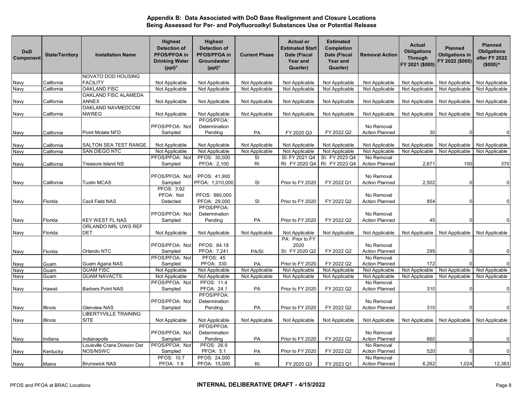| <b>DoD</b><br>Component | <b>State/Territory</b> | <b>Installation Name</b>             | <b>Highest</b><br><b>Detection of</b><br>PFOS/PFOA in<br><b>Drinking Water</b><br>$(ppt)^*$ | <b>Highest</b><br><b>Detection of</b><br>PFOS/PFOA in<br>Groundwater<br>$(ppt)^*$ | <b>Current Phase</b> | <b>Actual or</b><br><b>Estimated Start</b><br>Date (Fiscal<br><b>Year and</b><br>Quarter) | <b>Estimated</b><br><b>Completion</b><br>Date (Fiscal<br>Year and<br>Quarter) | <b>Removal Action</b>               | <b>Actual</b><br><b>Obligations</b><br><b>Through</b><br>FY 2021 (\$000) | <b>Planned</b><br><b>Obligations in</b><br>FY 2022 (\$000) | <b>Planned</b><br><b>Obligations</b><br>after FY 2022<br>$($000)^<$ |
|-------------------------|------------------------|--------------------------------------|---------------------------------------------------------------------------------------------|-----------------------------------------------------------------------------------|----------------------|-------------------------------------------------------------------------------------------|-------------------------------------------------------------------------------|-------------------------------------|--------------------------------------------------------------------------|------------------------------------------------------------|---------------------------------------------------------------------|
|                         |                        | NOVATO DOD HOUSING                   |                                                                                             |                                                                                   |                      |                                                                                           |                                                                               |                                     |                                                                          |                                                            |                                                                     |
| Navy                    | California             | <b>FACILITY</b>                      | Not Applicable                                                                              | Not Applicable                                                                    | Not Applicable       | Not Applicable                                                                            | Not Applicable                                                                | Not Applicable                      | Not Applicable                                                           | Not Applicable                                             | Not Applicable                                                      |
| Navy                    | California             | <b>OAKLAND FISC</b>                  | Not Applicable                                                                              | Not Applicable                                                                    | Not Applicable       | Not Applicable                                                                            | Not Applicable                                                                | Not Applicable                      | Not Applicable                                                           | Not Applicable                                             | Not Applicable                                                      |
| Navy                    | California             | OAKLAND FISC ALAMEDA<br><b>ANNEX</b> | Not Applicable                                                                              | Not Applicable                                                                    | Not Applicable       | Not Applicable                                                                            | Not Applicable                                                                | Not Applicable                      | Not Applicable                                                           | Not Applicable                                             | Not Applicable                                                      |
|                         |                        | OAKLAND NAVMEDCOM                    |                                                                                             |                                                                                   |                      |                                                                                           |                                                                               |                                     |                                                                          |                                                            |                                                                     |
| Navy                    | California             | <b>NWREG</b>                         | Not Applicable                                                                              | Not Applicable                                                                    | Not Applicable       | Not Applicable                                                                            | Not Applicable                                                                | Not Applicable                      | Not Applicable                                                           | Not Applicable                                             | Not Applicable                                                      |
| Navy                    | California             | Point Molate NFD                     | PFOS/PFOA: Not<br>Sampled                                                                   | PFOS/PFOA:<br>Determination<br>Pending                                            | PA                   | FY 2020 Q3                                                                                | FY 2022 Q2                                                                    | No Removal<br><b>Action Planned</b> | 30                                                                       |                                                            | $\Omega$                                                            |
|                         |                        |                                      |                                                                                             |                                                                                   |                      |                                                                                           |                                                                               |                                     |                                                                          |                                                            |                                                                     |
| Navy                    | California             | SALTON SEA TEST RANGE                | Not Applicable                                                                              | Not Applicable                                                                    | Not Applicable       | Not Applicable                                                                            | Not Applicable                                                                | Not Applicable                      | Not Applicable                                                           | Not Applicable                                             | Not Applicable                                                      |
| Navy                    | California             | SAN DIEGO NTC                        | Not Applicable                                                                              | Not Applicable                                                                    | Not Applicable       | Not Applicable                                                                            | Not Applicable                                                                | Not Applicable                      | Not Applicable                                                           | Not Applicable                                             | Not Applicable                                                      |
|                         |                        |                                      | PFOS/PFOA: Not                                                                              | PFOS: 30,000                                                                      | SI                   | SI: FY 2021 Q4                                                                            | SI: FY 2023 Q4                                                                | No Removal                          |                                                                          |                                                            |                                                                     |
| Navy                    | California             | Treasure Island NS                   | Sampled                                                                                     | PFOA: 2,100                                                                       | $\mathsf{RI}$        | RI: FY 2020 Q4                                                                            | RI: FY 2023 Q4                                                                | <b>Action Planned</b>               | 2,671                                                                    | 100                                                        | 370                                                                 |
|                         |                        |                                      | PFOS/PFOA: Not                                                                              | PFOS: 41,900                                                                      |                      |                                                                                           |                                                                               | No Removal                          |                                                                          |                                                            |                                                                     |
| Navy                    | California             | Tustin MCAS                          | Sampled                                                                                     | PFOA: 1,010,000                                                                   | SI                   | Prior to FY 2020                                                                          | FY 2022 Q1                                                                    | <b>Action Planned</b>               | 2,502                                                                    |                                                            | $\Omega$                                                            |
| Navy                    | Florida                | Cecil Field NAS                      | PFOS: 3.92<br>PFOA: Not<br>Detected                                                         | PFOS: 980,000<br>PFOA: 29,000                                                     | <b>SI</b>            | Prior to FY 2020                                                                          | FY 2022 Q2                                                                    | No Removal<br><b>Action Planned</b> | 854                                                                      |                                                            | $\mathbf 0$                                                         |
| Navy                    | Florida                | <b>KEY WEST FL NAS</b>               | PFOS/PFOA: Not<br>Sampled                                                                   | PFOS/PFOA:<br>Determination<br>Pending                                            | PA                   | Prior to FY 2020                                                                          | FY 2022 Q2                                                                    | No Removal<br><b>Action Planned</b> | 45                                                                       |                                                            | $\mathbf 0$                                                         |
|                         |                        | ORLANDO NRL UWS REF                  |                                                                                             |                                                                                   |                      |                                                                                           |                                                                               |                                     |                                                                          |                                                            |                                                                     |
| Navy                    | Florida                | DET                                  | Not Applicable                                                                              | Not Applicable                                                                    | Not Applicable       | Not Applicable                                                                            | Not Applicable                                                                | Not Applicable                      | Not Applicable                                                           | Not Applicable                                             | Not Applicable                                                      |
|                         |                        |                                      | PFOS/PFOA: Not                                                                              | PFOS: 84.18                                                                       |                      | PA: Prior to FY<br>2020                                                                   |                                                                               | No Removal                          |                                                                          |                                                            |                                                                     |
| Navy                    | Florida                | Orlando NTC                          | Sampled                                                                                     | PFOA: 7,241                                                                       | PA/SI                | SI: FY 2020 Q2                                                                            | FY 2022 Q2                                                                    | <b>Action Planned</b>               | 295                                                                      |                                                            | $\mathbf 0$                                                         |
|                         |                        |                                      | PFOS/PFOA: Not                                                                              | <b>PFOS: 45</b>                                                                   |                      |                                                                                           |                                                                               | No Removal                          |                                                                          |                                                            |                                                                     |
| Navy<br>Navy            | Guam<br>Guam           | Guam Agana NAS<br><b>GUAM FISC</b>   | Sampled                                                                                     | <b>PFOA: 330</b>                                                                  | PA<br>Not Applicable | Prior to FY 2020                                                                          | FY 2022 Q2                                                                    | <b>Action Planned</b>               | 172                                                                      |                                                            | $\Omega$                                                            |
| Navy                    |                        | <b>GUAM NAVACTS</b>                  | Not Applicable<br>Not Applicable                                                            | Not Applicable<br>Not Applicable                                                  | Not Applicable       | Not Applicable<br>Not Applicable                                                          | Not Applicable<br>Not Applicable                                              | Not Applicable<br>Not Applicable    | Not Applicable<br>Not Applicable                                         | Not Applicable<br>Not Applicable                           | Not Applicable<br>Not Applicable                                    |
|                         | Guam                   |                                      | PFOS/PFOA: Not                                                                              | PFOS: 11.4                                                                        |                      |                                                                                           |                                                                               | No Removal                          |                                                                          |                                                            |                                                                     |
| Navy                    | Hawaii                 | <b>Barbers Point NAS</b>             | Sampled                                                                                     | PFOA: 24.1                                                                        | PA                   | Prior to FY 2020                                                                          | FY 2022 Q2                                                                    | <b>Action Planned</b>               | 310                                                                      |                                                            | $\mathbf{0}$                                                        |
|                         |                        |                                      |                                                                                             | PFOS/PFOA:                                                                        |                      |                                                                                           |                                                                               |                                     |                                                                          |                                                            |                                                                     |
|                         |                        |                                      | PFOS/PFOA: Not                                                                              | Determination                                                                     |                      |                                                                                           |                                                                               | No Removal                          |                                                                          |                                                            |                                                                     |
| Navy                    | Illinois               | <b>Glenview NAS</b>                  | Sampled                                                                                     | Pending                                                                           | PA                   | Prior to FY 2020                                                                          | FY 2022 Q2                                                                    | <b>Action Planned</b>               | 310                                                                      |                                                            | $\Omega$                                                            |
|                         |                        | LIBERTYVILLE TRAINING                |                                                                                             |                                                                                   |                      |                                                                                           |                                                                               |                                     |                                                                          |                                                            |                                                                     |
| Navy                    | Illinois               | SITE                                 | Not Applicable                                                                              | Not Applicable<br>PFOS/PFOA:                                                      | Not Applicable       | Not Applicable                                                                            | Not Applicable                                                                | Not Applicable                      | Not Applicable                                                           | Not Applicable                                             | Not Applicable                                                      |
|                         |                        |                                      | PFOS/PFOA: Not                                                                              | Determination                                                                     |                      |                                                                                           |                                                                               | No Removal                          |                                                                          |                                                            |                                                                     |
| Navy                    | Indiana                | Indianapolis                         | Sampled                                                                                     | Pending                                                                           | PA                   | Prior to FY 2020                                                                          | FY 2022 Q2                                                                    | <b>Action Planned</b>               | 660                                                                      |                                                            | $\overline{0}$                                                      |
|                         |                        | Louisville Crane Division Det        | PFOS/PFOA: Not                                                                              | PFOS: 26.9                                                                        |                      |                                                                                           |                                                                               | No Removal                          |                                                                          |                                                            |                                                                     |
| Navy                    | Kentucky               | NOS/NSWC                             | Sampled                                                                                     | PFOA: 5.1                                                                         | PA                   | Prior to FY 2020                                                                          | FY 2022 Q2                                                                    | <b>Action Planned</b>               | 520                                                                      |                                                            | $\overline{0}$                                                      |
|                         |                        |                                      | <b>PFOS: 10.7</b>                                                                           | PFOS: 24,000                                                                      |                      |                                                                                           |                                                                               | No Removal                          |                                                                          |                                                            |                                                                     |
| <b>Navy</b>             | Maine                  | <b>Brunswick NAS</b>                 | PFOA: 1.9                                                                                   | PFOA: 15,000                                                                      | RI                   | FY 2020 Q3                                                                                | FY 2023 Q1                                                                    | <b>Action Planned</b>               | 6,262                                                                    | 1,024                                                      | 12,363                                                              |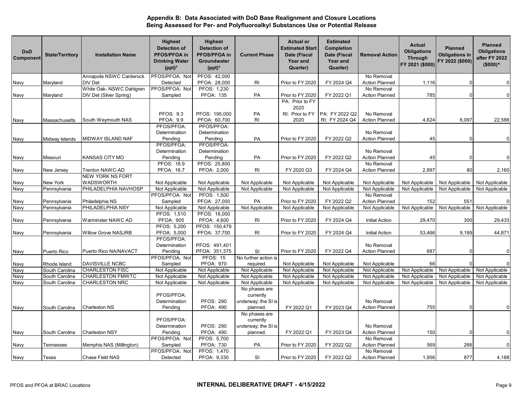| <b>DoD</b><br>Component | <b>State/Territory</b> | <b>Installation Name</b>   | <b>Highest</b><br><b>Detection of</b><br>PFOS/PFOA in<br><b>Drinking Water</b><br>$(ppt)^*$ | <b>Highest</b><br><b>Detection of</b><br>PFOS/PFOA in<br>Groundwater<br>$(ppt)^*$ | <b>Current Phase</b>       | <b>Actual or</b><br><b>Estimated Start</b><br>Date (Fiscal<br>Year and<br>Quarter) | <b>Estimated</b><br>Completion<br>Date (Fiscal<br>Year and<br>Quarter) | <b>Removal Action</b> | Actual<br><b>Obligations</b><br><b>Through</b><br>FY 2021 (\$000) | <b>Planned</b><br><b>Obligations in</b><br>FY 2022 (\$000) | <b>Planned</b><br><b>Obligations</b><br>after FY 2022<br>$($000)^<$ |
|-------------------------|------------------------|----------------------------|---------------------------------------------------------------------------------------------|-----------------------------------------------------------------------------------|----------------------------|------------------------------------------------------------------------------------|------------------------------------------------------------------------|-----------------------|-------------------------------------------------------------------|------------------------------------------------------------|---------------------------------------------------------------------|
|                         |                        | Annapolis NSWC Carderock   | PFOS/PFOA: Not                                                                              | PFOS: 42,000                                                                      |                            |                                                                                    |                                                                        | No Removal            |                                                                   |                                                            |                                                                     |
| Navy                    | Maryland               | DIV Det                    | Detected                                                                                    | PFOA: 28,000                                                                      | <b>RI</b>                  | Prior to FY 2020                                                                   | FY 2024 Q4                                                             | <b>Action Planned</b> | 1,116                                                             |                                                            | $\mathbf 0$                                                         |
|                         |                        | White Oak- NSWC Dahlgren   | PFOS/PFOA: Not                                                                              | PFOS: 1,230                                                                       |                            |                                                                                    |                                                                        | No Removal            |                                                                   |                                                            |                                                                     |
| Navy                    | Maryland               | DIV Det (Silver Spring)    | Sampled                                                                                     | <b>PFOA: 135</b>                                                                  | PA                         | Prior to FY 2020                                                                   | FY 2022 Q1                                                             | <b>Action Planned</b> | 785                                                               |                                                            | $\overline{0}$                                                      |
|                         |                        |                            |                                                                                             |                                                                                   |                            | PA: Prior to FY                                                                    |                                                                        |                       |                                                                   |                                                            |                                                                     |
|                         |                        |                            |                                                                                             |                                                                                   |                            | 2020                                                                               |                                                                        |                       |                                                                   |                                                            |                                                                     |
|                         |                        |                            | <b>PFOS: 9.3</b>                                                                            | PFOS: 195,000                                                                     | PA                         | RI: Prior to FY                                                                    | PA: FY 2022 Q2                                                         | No Removal            |                                                                   |                                                            |                                                                     |
| Navy                    | Massachusetts          | South Weymouth NAS         | <b>PFOA: 9.9</b><br>PFOS/PFOA:                                                              | PFOA: 60,700<br>PFOS/PFOA:                                                        | <b>RI</b>                  | 2020                                                                               | RI: FY 2024 Q4                                                         | <b>Action Planned</b> | 4,624                                                             | 6,097                                                      | 22,588                                                              |
|                         |                        |                            |                                                                                             |                                                                                   |                            |                                                                                    |                                                                        | No Removal            |                                                                   |                                                            |                                                                     |
| Navy                    | Midway Islands         | MIDWAY ISLAND NAF          | Determination<br>Pending                                                                    | Determination<br>Pending                                                          | PA                         | Prior to FY 2020                                                                   | FY 2022 Q2                                                             | <b>Action Planned</b> | 45                                                                |                                                            | $\mathbf 0$                                                         |
|                         |                        |                            | PFOS/PFOA:                                                                                  | PFOS/PFOA:                                                                        |                            |                                                                                    |                                                                        |                       |                                                                   |                                                            |                                                                     |
|                         |                        |                            | Determination                                                                               | Determination                                                                     |                            |                                                                                    |                                                                        | No Removal            |                                                                   |                                                            |                                                                     |
| Navy                    | Missouri               | KANSAS CITY MO             | Pending                                                                                     | Pending                                                                           | PA                         | Prior to FY 2020                                                                   | FY 2022 Q2                                                             | <b>Action Planned</b> | 45                                                                |                                                            | $\Omega$                                                            |
|                         |                        |                            | PFOS: 18.9                                                                                  | PFOS: 25,800                                                                      |                            |                                                                                    |                                                                        | No Removal            |                                                                   |                                                            |                                                                     |
| Navy                    | New Jersey             | Trenton NAWC-AD            | PFOA: 16.7                                                                                  | PFOA: 2,000                                                                       | RI                         | FY 2020 Q3                                                                         | FY 2024 Q4                                                             | <b>Action Planned</b> | 2,897                                                             | 80                                                         | 2,160                                                               |
|                         |                        | <b>NEW YORK NS FORT</b>    |                                                                                             |                                                                                   |                            |                                                                                    |                                                                        |                       |                                                                   |                                                            |                                                                     |
| Navy                    | <b>New York</b>        | <b>WADSWORTH</b>           | Not Applicable                                                                              | Not Applicable                                                                    | Not Applicable             | Not Applicable                                                                     | Not Applicable                                                         | Not Applicable        | Not Applicable                                                    | Not Applicable                                             | Not Applicable                                                      |
| Navy                    | Pennsylvania           | PHILADELPHIA NAVHOSP       | Not Applicable                                                                              | Not Applicable                                                                    | Not Applicable             | Not Applicable                                                                     | Not Applicable                                                         | Not Applicable        | Not Applicable                                                    | Not Applicable                                             | Not Applicable                                                      |
|                         |                        |                            | PFOS/PFOA: Not                                                                              | PFOS: 1,500                                                                       |                            |                                                                                    |                                                                        | No Removal            |                                                                   |                                                            |                                                                     |
| Navy                    | Pennsylvania           | Philadelphia NS            | Sampled                                                                                     | PFOA: 27,000                                                                      | PA                         | Prior to FY 2020                                                                   | FY 2022 Q2                                                             | <b>Action Planned</b> | 152                                                               | 551                                                        | $\Omega$                                                            |
| <b>Navy</b>             | Pennsylvania           | PHILADELPHIA NSY           | Not Applicable                                                                              | Not Applicable                                                                    | Not Applicable             | Not Applicable                                                                     | Not Applicable                                                         | Not Applicable        | Not Applicable                                                    | Not Applicable                                             | Not Applicable                                                      |
|                         |                        |                            | PFOS: 1,510                                                                                 | PFOS: 16,000                                                                      |                            |                                                                                    |                                                                        |                       |                                                                   |                                                            |                                                                     |
| Navy                    | Pennsylvania           | Warminster NAWC AD         | <b>PFOA: 905</b>                                                                            | PFOA: 4,600                                                                       | RI                         | Prior to FY 2020                                                                   | FY 2024 Q4                                                             | <b>Initial Action</b> | 29,470                                                            | 300                                                        | 29,433                                                              |
|                         |                        |                            | PFOS: 5,200                                                                                 | PFOS: 150,479                                                                     |                            |                                                                                    |                                                                        |                       |                                                                   |                                                            |                                                                     |
| Navy                    | Pennsylvania           | <b>Willow Grove NASJRB</b> | PFOA: 5,000                                                                                 | PFOA: 37,700                                                                      | RI                         | Prior to FY 2020                                                                   | FY 2024 Q4                                                             | <b>Initial Action</b> | 53,466                                                            | 9,189                                                      | 44,871                                                              |
|                         |                        |                            | PFOS/PFOA:                                                                                  |                                                                                   |                            |                                                                                    |                                                                        |                       |                                                                   |                                                            |                                                                     |
|                         |                        |                            | Determination                                                                               | PFOS: 491,401                                                                     |                            |                                                                                    | FY 2022 Q4                                                             | No Removal            |                                                                   |                                                            | $\overline{0}$                                                      |
| Navy                    | Puerto Rico            | Puerto Rico NA/NAVACT      | Pending<br>PFOS/PFOA: Not                                                                   | PFOA: 351,375<br><b>PFOS: 15</b>                                                  | SI<br>No further action is | Prior to FY 2020                                                                   |                                                                        | <b>Action Planned</b> | 687                                                               |                                                            |                                                                     |
| Navy                    | Rhode Island           | DAVISVILLE NCBC            | Sampled                                                                                     | <b>PFOA: 970</b>                                                                  | required.                  | Not Applicable                                                                     | Not Applicable                                                         | Not Applicable        | 66                                                                |                                                            | $\overline{0}$                                                      |
| Navy                    | South Carolina         | <b>CHARLESTON FISC</b>     | Not Applicable                                                                              | Not Applicable                                                                    | Not Applicable             | Not Applicable                                                                     | Not Applicable                                                         | Not Applicable        | Not Applicable                                                    | Not Applicable                                             | Not Applicable                                                      |
| Navy                    | South Carolina         | <b>CHARLESTON FMWTC</b>    | Not Applicable                                                                              | Not Applicable                                                                    | Not Applicable             | Not Applicable                                                                     | Not Applicable                                                         | Not Applicable        | Not Applicable                                                    | Not Applicable                                             | Not Applicable                                                      |
| Navy                    | South Carolina         | <b>CHARLESTON NRC</b>      | Not Applicable                                                                              | Not Applicable                                                                    | Not Applicable             | Not Applicable                                                                     | Not Applicable                                                         | Not Applicable        | Not Applicable                                                    | Not Applicable                                             | Not Applicable                                                      |
|                         |                        |                            |                                                                                             |                                                                                   | No phases are              |                                                                                    |                                                                        |                       |                                                                   |                                                            |                                                                     |
|                         |                        |                            | PFOS/PFOA:                                                                                  |                                                                                   | currently                  |                                                                                    |                                                                        |                       |                                                                   |                                                            |                                                                     |
|                         |                        |                            | Determination                                                                               | <b>PFOS: 290</b>                                                                  | underway; the SI is        |                                                                                    |                                                                        | No Removal            |                                                                   |                                                            |                                                                     |
| Navy                    | South Carolina         | Charleston NS              | Pending                                                                                     | <b>PFOA: 490</b>                                                                  | planned.                   | FY 2022 Q1                                                                         | FY 2023 Q4                                                             | <b>Action Planned</b> | 755                                                               |                                                            | $\mathbf{0}$                                                        |
|                         |                        |                            |                                                                                             |                                                                                   | No phases are              |                                                                                    |                                                                        |                       |                                                                   |                                                            |                                                                     |
|                         |                        |                            | PFOS/PFOA:                                                                                  |                                                                                   | currently                  |                                                                                    |                                                                        |                       |                                                                   |                                                            |                                                                     |
|                         |                        |                            | Determination                                                                               | <b>PFOS: 290</b>                                                                  | underway; the SI is        |                                                                                    |                                                                        | No Removal            |                                                                   |                                                            |                                                                     |
| Navy                    | South Carolina         | <b>Charleston NSY</b>      | Pending                                                                                     | <b>PFOA: 490</b>                                                                  | planned.                   | FY 2022 Q1                                                                         | FY 2023 Q4                                                             | <b>Action Planned</b> | 150                                                               |                                                            | $\Omega$                                                            |
|                         |                        |                            | PFOS/PFOA: Not                                                                              | PFOS: 5,700                                                                       |                            |                                                                                    |                                                                        | No Removal            |                                                                   |                                                            |                                                                     |
| Navy                    | Tennessee              | Memphis NAS (Millington)   | Sampled                                                                                     | <b>PFOA: 730</b>                                                                  | PA                         | Prior to FY 2020                                                                   | FY 2022 Q2                                                             | <b>Action Planned</b> | 569                                                               | 266                                                        | $\mathbf 0$                                                         |
|                         |                        |                            | PFOS/PFOA: Not                                                                              | PFOS: 1,470                                                                       |                            |                                                                                    |                                                                        | No Removal            |                                                                   |                                                            |                                                                     |
| Navy                    | Texas                  | Chase Field NAS            | Detected                                                                                    | PFOA: 9,330                                                                       | SI                         | Prior to FY 2020                                                                   | FY 2022 Q2                                                             | <b>Action Planned</b> | 1,956                                                             | 877                                                        | 4,188                                                               |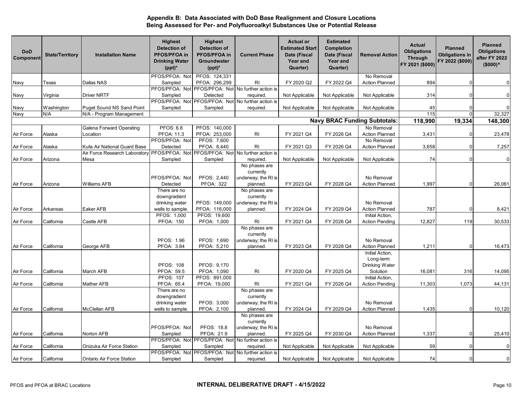| <b>DoD</b><br>Component | <b>State/Territory</b> | <b>Installation Name</b>                                                         | <b>Highest</b><br><b>Detection of</b><br>PFOS/PFOA in<br><b>Drinking Water</b><br>$(ppt)^*$ | <b>Highest</b><br><b>Detection of</b><br>PFOS/PFOA in<br>Groundwater<br>$(ppt)^*$ | <b>Current Phase</b>                                            | <b>Actual or</b><br><b>Estimated Start</b><br>Date (Fiscal<br>Year and<br>Quarter) | <b>Estimated</b><br>Completion<br>Date (Fiscal<br>Year and<br>Quarter) | <b>Removal Action</b>                                      | Actual<br><b>Obligations</b><br><b>Through</b><br>FY 2021 (\$000) | <b>Planned</b><br><b>Obligations in</b><br>FY 2022 (\$000) | <b>Planned</b><br><b>Obligations</b><br>after FY 2022<br>$($000)^<$ |
|-------------------------|------------------------|----------------------------------------------------------------------------------|---------------------------------------------------------------------------------------------|-----------------------------------------------------------------------------------|-----------------------------------------------------------------|------------------------------------------------------------------------------------|------------------------------------------------------------------------|------------------------------------------------------------|-------------------------------------------------------------------|------------------------------------------------------------|---------------------------------------------------------------------|
|                         |                        |                                                                                  | PFOS/PFOA: Not                                                                              | PFOS: 124,331                                                                     |                                                                 |                                                                                    |                                                                        | No Removal                                                 |                                                                   |                                                            |                                                                     |
| Navy                    | Texas                  | Dallas NAS                                                                       | Sampled                                                                                     | PFOA: 296,299                                                                     | R <sub>l</sub>                                                  | FY 2020 Q2                                                                         | FY 2022 Q4                                                             | Action Planned                                             | 894                                                               |                                                            | $\mathbf 0$                                                         |
| Navy                    | Virginia               | <b>Driver NRTF</b>                                                               | Sampled                                                                                     | Detected                                                                          | PFOS/PFOA: Not PFOS/PFOA: Not No further action is<br>required. | Not Applicable                                                                     | Not Applicable                                                         | Not Applicable                                             | 314                                                               |                                                            | $\mathbf 0$                                                         |
|                         |                        |                                                                                  |                                                                                             |                                                                                   | PFOS/PFOA: Not PFOS/PFOA: Not No further action is              |                                                                                    |                                                                        |                                                            |                                                                   |                                                            |                                                                     |
| Navy                    | Washington             | <b>Puget Sound NS Sand Point</b>                                                 | Sampled                                                                                     | Sampled                                                                           | required.                                                       | Not Applicable                                                                     | Not Applicable                                                         | Not Applicable                                             | 45                                                                |                                                            | $\Omega$                                                            |
| Navy                    | N/A                    | N/A - Program Management                                                         |                                                                                             |                                                                                   |                                                                 |                                                                                    |                                                                        |                                                            | 115                                                               |                                                            | 32,327                                                              |
|                         |                        |                                                                                  |                                                                                             |                                                                                   |                                                                 |                                                                                    |                                                                        | <b>Navy BRAC Funding Subtotals:</b>                        | 118,990                                                           | 19,334                                                     | 148,300                                                             |
|                         |                        | Galena Forward Operating                                                         | <b>PFOS: 6.8</b>                                                                            | PFOS: 140,000                                                                     |                                                                 |                                                                                    |                                                                        | No Removal                                                 |                                                                   |                                                            |                                                                     |
| Air Force               | Alaska                 | Location                                                                         | PFOA: 11.3                                                                                  | PFOA: 253,000                                                                     | R <sub>l</sub>                                                  | FY 2021 Q4                                                                         | FY 2026 Q4                                                             | <b>Action Planned</b>                                      | 3,431                                                             |                                                            | 23,478                                                              |
|                         |                        |                                                                                  | PFOS/PFOA: Not                                                                              | PFOS: 7,600                                                                       |                                                                 |                                                                                    |                                                                        | No Removal                                                 |                                                                   |                                                            |                                                                     |
| Air Force               | Alaska                 | Kulis Air National Guard Base                                                    | Detected                                                                                    | PFOA: 8,440                                                                       | <b>RI</b>                                                       | FY 2021 Q3                                                                         | FY 2026 Q4                                                             | <b>Action Planned</b>                                      | 3,658                                                             |                                                            | 7,257                                                               |
|                         |                        | Air Force Research Laboratory PFOS/PFOA: Not PFOS/PFOA: Not No further action is |                                                                                             |                                                                                   |                                                                 |                                                                                    |                                                                        |                                                            |                                                                   |                                                            |                                                                     |
| Air Force               | Arizona                | Mesa                                                                             | Sampled                                                                                     | Sampled                                                                           | required.                                                       | Not Applicable                                                                     | Not Applicable                                                         | Not Applicable                                             | 74                                                                |                                                            | $\overline{0}$                                                      |
|                         |                        |                                                                                  | PFOS/PFOA: Not                                                                              | PFOS: 2,440                                                                       | No phases are<br>currently<br>underway; the RI is               |                                                                                    |                                                                        | No Removal                                                 |                                                                   |                                                            |                                                                     |
| Air Force               | Arizona                | Williams AFB                                                                     | Detected                                                                                    | <b>PFOA: 322</b>                                                                  | planned.                                                        | FY 2023 Q4                                                                         | FY 2028 Q4                                                             | <b>Action Planned</b>                                      | 1,997                                                             |                                                            | 26,061                                                              |
|                         |                        |                                                                                  | There are no<br>downgradient<br>drinking water                                              | PFOS: 149,000                                                                     | No phases are<br>currently<br>underway; the RI is               |                                                                                    |                                                                        | No Removal                                                 |                                                                   |                                                            |                                                                     |
| Air Force               | Arkansas               | Eaker AFB                                                                        | wells to sample.                                                                            | PFOA: 116,000                                                                     | planned.                                                        | FY 2024 Q4                                                                         | FY 2029 Q4                                                             | <b>Action Planned</b>                                      | 787                                                               |                                                            | 8,421                                                               |
|                         |                        |                                                                                  | PFOS: 1,000                                                                                 | PFOS: 19,600                                                                      |                                                                 |                                                                                    |                                                                        | Initial Action,                                            |                                                                   |                                                            |                                                                     |
| Air Force               | California             | Castle AFB                                                                       | <b>PFOA: 150</b>                                                                            | PFOA: 1,000                                                                       | RI                                                              | FY 2021 Q4                                                                         | FY 2026 Q4                                                             | <b>Action Pending</b>                                      | 12,827                                                            | 119                                                        | 30,533                                                              |
| Air Force               | California             | George AFB                                                                       | PFOS: 1.96<br>PFOA: 3.84                                                                    | PFOS: 1,690<br>PFOA: 5,210                                                        | No phases are<br>currently<br>underway; the RI is<br>planned.   | FY 2023 Q4                                                                         | FY 2028 Q4                                                             | No Removal<br><b>Action Planned</b>                        | 1,211                                                             |                                                            | 16,473                                                              |
| Air Force               | California             | March AFB                                                                        | <b>PFOS: 108</b><br>PFOA: 59.5                                                              | PFOS: 9,170<br>PFOA: 1,090                                                        | <b>RI</b>                                                       | FY 2020 Q4                                                                         | FY 2025 Q4                                                             | Initial Action,<br>Long-term<br>Drinking Water<br>Solution | 16,081                                                            | 316                                                        | 14,095                                                              |
|                         |                        |                                                                                  | <b>PFOS: 107</b>                                                                            | PFOS: 891,000                                                                     |                                                                 |                                                                                    |                                                                        | Initial Action,                                            |                                                                   |                                                            |                                                                     |
| Air Force               | California             | <b>Mather AFB</b>                                                                | PFOA: 65.4                                                                                  | PFOA: 19,000                                                                      | RI                                                              | FY 2021 Q4                                                                         | FY 2026 Q4                                                             | <b>Action Pending</b>                                      | 11,303                                                            | 1,073                                                      | 44,131                                                              |
|                         |                        |                                                                                  | There are no                                                                                |                                                                                   | No phases are                                                   |                                                                                    |                                                                        |                                                            |                                                                   |                                                            |                                                                     |
|                         |                        |                                                                                  | downgradient                                                                                |                                                                                   | currently                                                       |                                                                                    |                                                                        |                                                            |                                                                   |                                                            |                                                                     |
|                         |                        |                                                                                  | drinking water                                                                              | PFOS: 3,000                                                                       | underway; the RI is                                             |                                                                                    |                                                                        | No Removal                                                 |                                                                   |                                                            |                                                                     |
| Air Force               | California             | McClellan AFB                                                                    | wells to sample.                                                                            | PFOA: 2,100                                                                       | planned.                                                        | FY 2024 Q4                                                                         | FY 2029 Q4                                                             | <b>Action Planned</b>                                      | 1,435                                                             |                                                            | 10,120                                                              |
|                         |                        |                                                                                  |                                                                                             |                                                                                   | No phases are<br>currently                                      |                                                                                    |                                                                        |                                                            |                                                                   |                                                            |                                                                     |
| Air Force               | California             | Norton AFB                                                                       | PFOS/PFOA: Not<br>Sampled                                                                   | <b>PFOS: 18.8</b><br>PFOA: 21.9                                                   | underway; the RI is<br>planned.                                 | FY 2025 Q4                                                                         | FY 2030 Q4                                                             | No Removal<br><b>Action Planned</b>                        | 1,337                                                             |                                                            | 25,410                                                              |
|                         |                        |                                                                                  |                                                                                             |                                                                                   | PFOS/PFOA: Not PFOS/PFOA: Not No further action is              |                                                                                    |                                                                        |                                                            |                                                                   |                                                            |                                                                     |
| Air Force               | California             | Onizuka Air Force Station                                                        | Sampled                                                                                     | Sampled                                                                           | required.                                                       | Not Applicable                                                                     | Not Applicable                                                         | Not Applicable                                             | 59                                                                |                                                            | $\mathbf 0$                                                         |
|                         |                        |                                                                                  |                                                                                             |                                                                                   | PFOS/PFOA: Not PFOS/PFOA: Not No further action is              |                                                                                    |                                                                        |                                                            |                                                                   |                                                            |                                                                     |
| Air Force               | California             | Ontario Air Force Station                                                        | Sampled                                                                                     | Sampled                                                                           | required.                                                       | Not Applicable                                                                     | Not Applicable                                                         | Not Applicable                                             | 74                                                                |                                                            | $\mathbf 0$                                                         |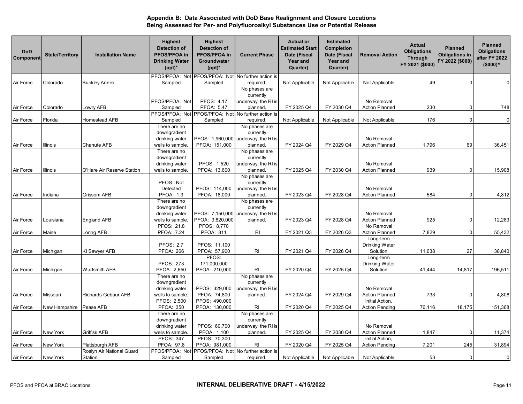| <b>DoD</b><br>Component | <b>State/Territory</b> | <b>Installation Name</b>   | <b>Highest</b><br><b>Detection of</b><br>PFOS/PFOA in<br><b>Drinking Water</b><br>$(ppt)^*$ | <b>Highest</b><br><b>Detection of</b><br>PFOS/PFOA in<br>Groundwater<br>$(ppt)^*$ | <b>Current Phase</b>                                           | <b>Actual or</b><br><b>Estimated Start</b><br>Date (Fiscal<br>Year and<br>Quarter) | <b>Estimated</b><br>Completion<br>Date (Fiscal<br>Year and<br>Quarter) | <b>Removal Action</b>       | Actual<br><b>Obligations</b><br><b>Through</b><br>FY 2021 (\$000) | <b>Planned</b><br><b>Obligations in</b><br>FY 2022 (\$000) | <b>Planned</b><br><b>Obligations</b><br>after FY 2022<br>$($000)^<$ |
|-------------------------|------------------------|----------------------------|---------------------------------------------------------------------------------------------|-----------------------------------------------------------------------------------|----------------------------------------------------------------|------------------------------------------------------------------------------------|------------------------------------------------------------------------|-----------------------------|-------------------------------------------------------------------|------------------------------------------------------------|---------------------------------------------------------------------|
|                         |                        |                            | PFOS/PFOA: Not                                                                              |                                                                                   | PFOS/PFOA: Not No further action is                            |                                                                                    |                                                                        |                             |                                                                   |                                                            |                                                                     |
| Air Force               | Colorado               | <b>Buckley Annex</b>       | Sampled                                                                                     | Sampled                                                                           | required.                                                      | Not Applicable                                                                     | Not Applicable                                                         | Not Applicable              | 49                                                                |                                                            | $\mathbf 0$                                                         |
|                         |                        |                            |                                                                                             |                                                                                   | No phases are                                                  |                                                                                    |                                                                        |                             |                                                                   |                                                            |                                                                     |
|                         |                        |                            |                                                                                             |                                                                                   | currently                                                      |                                                                                    |                                                                        |                             |                                                                   |                                                            |                                                                     |
|                         |                        |                            | PFOS/PFOA: Not                                                                              | PFOS: 4.17                                                                        | underway; the RI is                                            |                                                                                    |                                                                        | No Removal                  |                                                                   |                                                            |                                                                     |
| Air Force               | Colorado               | Lowry AFB                  | Sampled                                                                                     | PFOA: 5.47                                                                        | planned.<br>PFOS/PFOA: Not PFOS/PFOA: Not No further action is | FY 2025 Q4                                                                         | FY 2030 Q4                                                             | <b>Action Planned</b>       | 230                                                               |                                                            | 748                                                                 |
| Air Force               | Florida                | Homestead AFB              | Sampled                                                                                     | Sampled                                                                           | required.                                                      | Not Applicable                                                                     | Not Applicable                                                         | Not Applicable              | 176                                                               |                                                            | $\overline{0}$                                                      |
|                         |                        |                            | There are no                                                                                |                                                                                   | No phases are                                                  |                                                                                    |                                                                        |                             |                                                                   |                                                            |                                                                     |
|                         |                        |                            | downgradient                                                                                |                                                                                   | currently                                                      |                                                                                    |                                                                        |                             |                                                                   |                                                            |                                                                     |
|                         |                        |                            | drinking water                                                                              |                                                                                   | PFOS: 1,960,000 underway; the RI is                            |                                                                                    |                                                                        | No Removal                  |                                                                   |                                                            |                                                                     |
| Air Force               | Illinois               | Chanute AFB                | wells to sample.                                                                            | PFOA: 151,000                                                                     | planned.                                                       | FY 2024 Q4                                                                         | FY 2029 Q4                                                             | <b>Action Planned</b>       | 1,796                                                             | 69                                                         | 36,451                                                              |
|                         |                        |                            | There are no                                                                                |                                                                                   | No phases are                                                  |                                                                                    |                                                                        |                             |                                                                   |                                                            |                                                                     |
|                         |                        |                            | downgradient                                                                                |                                                                                   | currently                                                      |                                                                                    |                                                                        |                             |                                                                   |                                                            |                                                                     |
|                         |                        |                            | drinking water                                                                              | PFOS: 1,520                                                                       | underway; the RI is                                            |                                                                                    |                                                                        | No Removal                  |                                                                   |                                                            |                                                                     |
| Air Force               | Illinois               | O'Hare Air Reserve Station | wells to sample.                                                                            | PFOA: 13,600                                                                      | planned.                                                       | FY 2025 Q4                                                                         | FY 2030 Q4                                                             | <b>Action Planned</b>       | 939                                                               |                                                            | 15,908                                                              |
|                         |                        |                            |                                                                                             |                                                                                   | No phases are                                                  |                                                                                    |                                                                        |                             |                                                                   |                                                            |                                                                     |
|                         |                        |                            | PFOS: Not                                                                                   |                                                                                   | currently                                                      |                                                                                    |                                                                        |                             |                                                                   |                                                            |                                                                     |
|                         |                        |                            | Detected                                                                                    | PFOS: 114,000                                                                     | underway; the RI is                                            |                                                                                    |                                                                        | No Removal                  |                                                                   |                                                            |                                                                     |
| Air Force               | Indiana                | <b>Grissom AFB</b>         | <b>PFOA: 1.3</b>                                                                            | PFOA: 18,000                                                                      | planned.                                                       | FY 2023 Q4                                                                         | FY 2028 Q4                                                             | <b>Action Planned</b>       | 584                                                               |                                                            | 4,812                                                               |
|                         |                        |                            | There are no                                                                                |                                                                                   | No phases are                                                  |                                                                                    |                                                                        |                             |                                                                   |                                                            |                                                                     |
|                         |                        |                            | downgradient                                                                                |                                                                                   | currently                                                      |                                                                                    |                                                                        |                             |                                                                   |                                                            |                                                                     |
|                         |                        |                            | drinking water                                                                              |                                                                                   | PFOS: 7,150,000 underway; the RI is                            |                                                                                    |                                                                        | No Removal                  |                                                                   |                                                            |                                                                     |
| Air Force               | Louisiana              | <b>England AFB</b>         | wells to sample.                                                                            | PFOA: 3,820,000                                                                   | planned.                                                       | FY 2023 Q4                                                                         | FY 2028 Q4                                                             | <b>Action Planned</b>       | 925                                                               |                                                            | 12,283                                                              |
|                         |                        |                            | PFOS: 21.8                                                                                  | PFOS: 8,770                                                                       |                                                                |                                                                                    |                                                                        | No Removal                  |                                                                   |                                                            |                                                                     |
| Air Force               | Maine                  | Loring AFB                 | PFOA: 7.24                                                                                  | <b>PFOA: 811</b>                                                                  | <b>RI</b>                                                      | FY 2021 Q3                                                                         | FY 2026 Q3                                                             | <b>Action Planned</b>       | 7,829                                                             |                                                            | 55,432                                                              |
|                         |                        |                            |                                                                                             |                                                                                   |                                                                |                                                                                    |                                                                        | Long-term                   |                                                                   |                                                            |                                                                     |
| Air Force               |                        |                            | <b>PFOS: 2.7</b><br><b>PFOA: 266</b>                                                        | PFOS: 11,100<br>PFOA: 57,900                                                      | <b>RI</b>                                                      | FY 2021 Q4                                                                         | FY 2026 Q4                                                             | Drinking Water<br>Solution  |                                                                   | 27                                                         | 38,840                                                              |
|                         | Michigan               | KI Sawyer AFB              |                                                                                             | PFOS:                                                                             |                                                                |                                                                                    |                                                                        |                             | 11,638                                                            |                                                            |                                                                     |
|                         |                        |                            | <b>PFOS: 273</b>                                                                            | 171,000,000                                                                       |                                                                |                                                                                    |                                                                        | Long-term<br>Drinking Water |                                                                   |                                                            |                                                                     |
| Air Force               | Michigan               | <b>Wurtsmith AFB</b>       | PFOA: 2,650                                                                                 | PFOA: 210,000                                                                     | <b>RI</b>                                                      | FY 2020 Q4                                                                         | FY 2025 Q4                                                             | Solution                    | 41,444                                                            | 14,817                                                     | 196,511                                                             |
|                         |                        |                            | There are no                                                                                |                                                                                   | No phases are                                                  |                                                                                    |                                                                        |                             |                                                                   |                                                            |                                                                     |
|                         |                        |                            | downgradient                                                                                |                                                                                   | currently                                                      |                                                                                    |                                                                        |                             |                                                                   |                                                            |                                                                     |
|                         |                        |                            | drinking water                                                                              | PFOS: 329,000                                                                     | underway; the RI is                                            |                                                                                    |                                                                        | No Removal                  |                                                                   |                                                            |                                                                     |
| Air Force               | Missouri               | Richards-Gebaur AFB        | wells to sample.                                                                            | PFOA: 74,800                                                                      | planned.                                                       | FY 2024 Q4                                                                         | FY 2029 Q4                                                             | <b>Action Planned</b>       | 733                                                               |                                                            | 4,808                                                               |
|                         |                        |                            | PFOS: 2,500                                                                                 | PFOS: 490,000                                                                     |                                                                |                                                                                    |                                                                        | Initial Action,             |                                                                   |                                                            |                                                                     |
| Air Force               | New Hampshire          | Pease AFB                  | <b>PFOA: 350</b>                                                                            | PFOA: 130,000                                                                     | <b>RI</b>                                                      | FY 2020 Q4                                                                         | FY 2025 Q4                                                             | <b>Action Pending</b>       | 76,116                                                            | 18,175                                                     | 151,368                                                             |
|                         |                        |                            | There are no                                                                                |                                                                                   | No phases are                                                  |                                                                                    |                                                                        |                             |                                                                   |                                                            |                                                                     |
|                         |                        |                            | downgradient                                                                                |                                                                                   | currently                                                      |                                                                                    |                                                                        |                             |                                                                   |                                                            |                                                                     |
|                         |                        |                            | drinking water                                                                              | PFOS: 60,700                                                                      | underway; the RI is                                            |                                                                                    |                                                                        | No Removal                  |                                                                   |                                                            |                                                                     |
| Air Force               | New York               | <b>Griffiss AFB</b>        | wells to sample.                                                                            | PFOA: 1,100                                                                       | planned.                                                       | FY 2025 Q4                                                                         | FY 2030 Q4                                                             | <b>Action Planned</b>       | 1,847                                                             |                                                            | 11,374                                                              |
|                         |                        |                            | <b>PFOS: 347</b>                                                                            | PFOS: 70,300                                                                      |                                                                |                                                                                    |                                                                        | Initial Action,             |                                                                   |                                                            |                                                                     |
| Air Force               | New York               | Plattsburgh AFB            | PFOA: 97.8                                                                                  | PFOA: 981,000                                                                     | <b>RI</b>                                                      | FY 2020 Q4                                                                         | FY 2025 Q4                                                             | <b>Action Pending</b>       | 7,201                                                             | 245                                                        | 31,894                                                              |
|                         |                        | Roslyn Air National Guard  |                                                                                             |                                                                                   | PFOS/PFOA: Not PFOS/PFOA: Not No further action is             |                                                                                    |                                                                        |                             |                                                                   |                                                            |                                                                     |
| Air Force               | New York               | Station                    | Sampled                                                                                     | Sampled                                                                           | required.                                                      | Not Applicable                                                                     | Not Applicable                                                         | Not Applicable              | 53                                                                |                                                            | $\overline{0}$                                                      |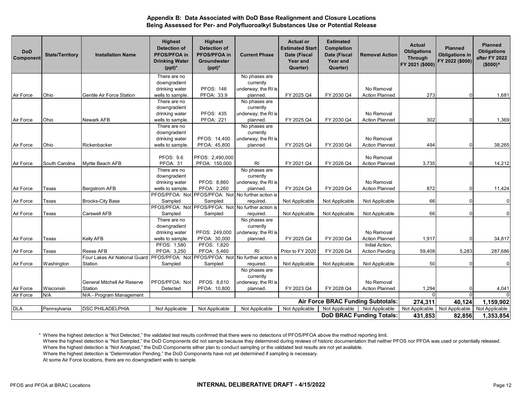| <b>DoD</b><br>Component         | <b>State/Territory</b> | <b>Installation Name</b>      | <b>Highest</b><br><b>Detection of</b><br>PFOS/PFOA in<br><b>Drinking Water</b><br>$(ppt)^*$ | <b>Highest</b><br><b>Detection of</b><br><b>PFOS/PFOA in</b><br><b>Groundwater</b><br>$(ppt)^*$ | <b>Current Phase</b>       | <b>Actual or</b><br><b>Estimated Start</b><br>Date (Fiscal<br>Year and<br>Quarter) | <b>Estimated</b><br><b>Completion</b><br>Date (Fiscal<br>Year and<br>Quarter) | <b>Removal Action</b>             | Actual<br><b>Obligations</b><br><b>Through</b><br>FY 2021 (\$000) | <b>Planned</b><br><b>Obligations in</b><br>FY 2022 (\$000) | <b>Planned</b><br><b>Obligations</b><br>after FY 2022<br>$($000)^<$ |
|---------------------------------|------------------------|-------------------------------|---------------------------------------------------------------------------------------------|-------------------------------------------------------------------------------------------------|----------------------------|------------------------------------------------------------------------------------|-------------------------------------------------------------------------------|-----------------------------------|-------------------------------------------------------------------|------------------------------------------------------------|---------------------------------------------------------------------|
|                                 |                        |                               | There are no                                                                                |                                                                                                 | No phases are              |                                                                                    |                                                                               |                                   |                                                                   |                                                            |                                                                     |
|                                 |                        |                               | downgradient                                                                                |                                                                                                 | currently                  |                                                                                    |                                                                               |                                   |                                                                   |                                                            |                                                                     |
|                                 |                        |                               | drinking water                                                                              | <b>PFOS: 146</b>                                                                                | underway; the RI is        |                                                                                    |                                                                               | No Removal                        |                                                                   |                                                            |                                                                     |
| Air Force                       | Ohio                   | Gentile Air Force Station     | wells to sample.                                                                            | PFOA: 33.9                                                                                      | planned.                   | FY 2025 Q4                                                                         | FY 2030 Q4                                                                    | <b>Action Planned</b>             | 273                                                               |                                                            | 1,681                                                               |
|                                 |                        |                               | There are no                                                                                |                                                                                                 | No phases are              |                                                                                    |                                                                               |                                   |                                                                   |                                                            |                                                                     |
|                                 |                        |                               | downgradient                                                                                |                                                                                                 | currently                  |                                                                                    |                                                                               |                                   |                                                                   |                                                            |                                                                     |
|                                 |                        |                               | drinking water                                                                              | <b>PFOS: 435</b>                                                                                | underway; the RI is        |                                                                                    |                                                                               | No Removal                        |                                                                   |                                                            |                                                                     |
| Air Force                       | Ohio                   | Newark AFB                    | wells to sample.                                                                            | <b>PFOA: 221</b>                                                                                | planned.                   | FY 2025 Q4                                                                         | FY 2030 Q4                                                                    | <b>Action Planned</b>             | 302                                                               |                                                            | 1,369                                                               |
|                                 |                        |                               | There are no<br>downgradient                                                                |                                                                                                 | No phases are<br>currently |                                                                                    |                                                                               |                                   |                                                                   |                                                            |                                                                     |
|                                 |                        |                               | drinking water                                                                              | PFOS: 14,400                                                                                    | underway; the RI is        |                                                                                    |                                                                               | No Removal                        |                                                                   |                                                            |                                                                     |
| Air Force                       | Ohio                   | Rickenbacker                  | wells to sample.                                                                            | PFOA: 45,800                                                                                    | planned.                   | FY 2025 Q4                                                                         | FY 2030 Q4                                                                    | <b>Action Planned</b>             | 494                                                               |                                                            | 38,265                                                              |
|                                 |                        |                               |                                                                                             |                                                                                                 |                            |                                                                                    |                                                                               |                                   |                                                                   |                                                            |                                                                     |
|                                 |                        |                               | <b>PFOS: 9.6</b>                                                                            | PFOS: 2,490,000                                                                                 |                            |                                                                                    |                                                                               | No Removal                        |                                                                   |                                                            |                                                                     |
| Air Force                       | South Carolina         | Myrtle Beach AFB              | PFOA: 31                                                                                    | PFOA: 150,000                                                                                   | R <sub>l</sub>             | FY 2021 Q4                                                                         | FY 2026 Q4                                                                    | <b>Action Planned</b>             | 3,735                                                             |                                                            | 14,212                                                              |
|                                 |                        |                               | There are no                                                                                |                                                                                                 | No phases are              |                                                                                    |                                                                               |                                   |                                                                   |                                                            |                                                                     |
|                                 |                        |                               | downgradient                                                                                |                                                                                                 | currently                  |                                                                                    |                                                                               |                                   |                                                                   |                                                            |                                                                     |
|                                 |                        |                               | drinking water                                                                              | PFOS: 8,860                                                                                     | underway; the RI is        |                                                                                    |                                                                               | No Removal                        |                                                                   |                                                            |                                                                     |
| Air Force                       | Texas                  | <b>Bergstrom AFB</b>          | wells to sample.                                                                            | PFOA: 2,260                                                                                     | planned.                   | FY 2024 Q4                                                                         | FY 2029 Q4                                                                    | <b>Action Planned</b>             | 872                                                               |                                                            | 11,424                                                              |
|                                 |                        |                               |                                                                                             | PFOS/PFOA: Not PFOS/PFOA: Not No further action is                                              |                            |                                                                                    |                                                                               |                                   |                                                                   |                                                            |                                                                     |
| Air Force                       | Texas                  | <b>Brooks-City Base</b>       | Sampled                                                                                     | Sampled                                                                                         | required.                  | Not Applicable                                                                     | Not Applicable                                                                | Not Applicable                    | 66                                                                |                                                            | $\overline{0}$                                                      |
|                                 |                        |                               |                                                                                             | PFOS/PFOA: Not PFOS/PFOA: Not No further action is                                              |                            |                                                                                    |                                                                               |                                   |                                                                   |                                                            |                                                                     |
| Air Force                       | Texas                  | Carswell AFB                  | Sampled                                                                                     | Sampled                                                                                         | required.                  | Not Applicable                                                                     | Not Applicable                                                                | Not Applicable                    | 66                                                                |                                                            | $\overline{0}$                                                      |
|                                 |                        |                               | There are no                                                                                |                                                                                                 | No phases are              |                                                                                    |                                                                               |                                   |                                                                   |                                                            |                                                                     |
|                                 |                        |                               | downgradient                                                                                |                                                                                                 | currently                  |                                                                                    |                                                                               |                                   |                                                                   |                                                            |                                                                     |
|                                 |                        |                               | drinking water                                                                              | PFOS: 249,000                                                                                   | underway; the RI is        |                                                                                    |                                                                               | No Removal                        |                                                                   |                                                            |                                                                     |
| Air Force                       | Texas                  | <b>Kelly AFB</b>              | wells to sample.                                                                            | PFOA: 30,000                                                                                    | planned                    | FY 2025 Q4                                                                         | FY 2030 Q4                                                                    | <b>Action Planned</b>             | 1,917                                                             |                                                            | 34,817                                                              |
|                                 |                        |                               | PFOS: 1,580                                                                                 | PFOS: 1.820                                                                                     |                            |                                                                                    |                                                                               | Initial Action.                   |                                                                   |                                                            |                                                                     |
| Air Force                       | Texas                  | Reese AFB                     | PFOA: 3,250                                                                                 | PFOA: 5,460                                                                                     | R <sub>l</sub>             | Prior to FY 2020                                                                   | FY 2026 Q4                                                                    | <b>Action Pending</b>             | 59,408                                                            | 5,283                                                      | 287,686                                                             |
|                                 |                        | Four Lakes Air National Guard |                                                                                             | PFOS/PFOA: Not PFOS/PFOA: Not No further action is                                              |                            |                                                                                    |                                                                               |                                   |                                                                   |                                                            |                                                                     |
| Air Force                       | Washington             | Station                       | Sampled                                                                                     | Sampled                                                                                         | required.                  | Not Applicable                                                                     | Not Applicable                                                                | Not Applicable                    | 50                                                                |                                                            | $\mathbf 0$                                                         |
|                                 |                        |                               |                                                                                             |                                                                                                 | No phases are<br>currently |                                                                                    |                                                                               |                                   |                                                                   |                                                            |                                                                     |
|                                 |                        | General Mitchell Air Reserve  | PFOS/PFOA: Not                                                                              | PFOS: 8,610                                                                                     | underway; the RI is        |                                                                                    |                                                                               | No Removal                        |                                                                   |                                                            |                                                                     |
| Air Force                       | Wisconsin              | Station                       | Detected                                                                                    | PFOA: 10,800                                                                                    | planned.                   | FY 2023 Q4                                                                         | FY 2028 Q4                                                                    | <b>Action Planned</b>             | 1,294                                                             |                                                            | 4,041                                                               |
| Air Force                       | N/A                    | N/A - Program Management      |                                                                                             |                                                                                                 |                            |                                                                                    |                                                                               |                                   | $\Omega$                                                          |                                                            | $\Omega$                                                            |
|                                 |                        |                               |                                                                                             |                                                                                                 |                            |                                                                                    |                                                                               | Air Force BRAC Funding Subtotals: | 274,311                                                           | 40,124                                                     | 1,159,902                                                           |
| <b>DLA</b>                      | Pennsylvania           | <b>DSC PHILADELPHIA</b>       | Not Applicable                                                                              | Not Applicable                                                                                  | Not Applicable             | Not Applicable                                                                     | Not Applicable                                                                | Not Applicable                    | Not Applicable                                                    | Not Applicable                                             | Not Applicable                                                      |
|                                 |                        |                               |                                                                                             |                                                                                                 |                            |                                                                                    |                                                                               |                                   | 431,853                                                           |                                                            |                                                                     |
| <b>DoD BRAC Funding Totals:</b> |                        |                               |                                                                                             |                                                                                                 |                            |                                                                                    |                                                                               |                                   |                                                                   | 82,856                                                     | 1,353,854                                                           |

\* Where the highest detection is "Not Detected," the validated test results confirmed that there were no detections of PFOS/PFOA above the method reporting limit.

Where the highest detection is "Not Analyzed," the DoD Components either plan to conduct sampling or the validated test results are not yet available. Where the highest detection is "Not Sampled," the DoD Components did not sample because they determined during reviews of historic documentation that neither PFOS nor PFOA was used or potentially released.<br>Where the highes